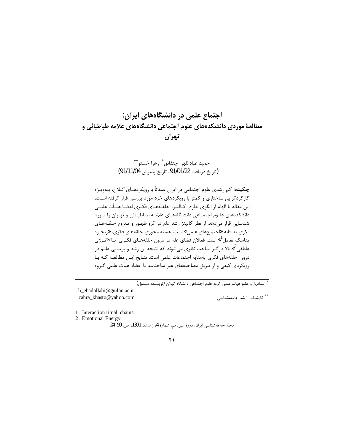# اجتماع علمی در دانشگاههای ایران: مطالعهٔ موردی دانشکدههای علوم اجتماعی دانشگاههای علامه طباطبائی و تهران

# حميد عباداللهي چنذانق ٌ، زهرا خستو ٌ ٌ (تاريخ دريافت 91/01/22، تاريخ پذيرش 91/11/04)

**چکیده:** کم رشدی علوم اجتماعی در ایران عمدتاً با رویکردهـای کـلان، بـهویـژه کارکردگرایی ساختاری و کمتر با رویکردهای خرد مورد بررسی قرار گرفته است. اين مقاله با الهام از الگوى نظرى كـالينز، حلقــهـمـاى فكــرى اعضـا هيــأت علمــى دانشکدههای علـوم اجتمـاعی دانشـگاههـای علامـه طباطبـائی و تهـران را مـورد شناسایی قرار میدهد. از نظر کالینز رشد علم در گرو ظهـور و تـداوم حلقـههـای فكرى بەمثابە «اجتماعهاي علمي» است. هسته محورى حلقەهاي فكرى، «زنجيره مناسک تعامل<sup>1</sup>» است. فعالان فضای علم در درون حلقههـای فکـری، بـا «انـرژی عاطفی<sup>2</sup>» بالا درگیر مباحث نظری میشوند که نتیجه آن رشد و پویـایی علــم در درون حلقههای فکری بهمثابه اجتماعات علمی است. نتـایج ایـن مطالعـه کـه بـا رویکردی کیفی و از طریق مصاحبههای غیر ساختمند با اعضاء هیأت علمی گـروه

۔<br>\* استادیار و عضو هیات علمی گروه علوم اجتماعی دانشگاه گیلان (نویسنده مسئول)

h ebadollahi@guilan.ac.ir zahra khasto@yahoo.com

\*\* كارشناس ارشد جامعهشناسی

1. Interaction ritual chains

2. Emotional Energy

مجلة جامعهشناسي ايران، دورة سيزدهم، شمارة 4، زمستان 1391، ص. 59-24

### **Y** £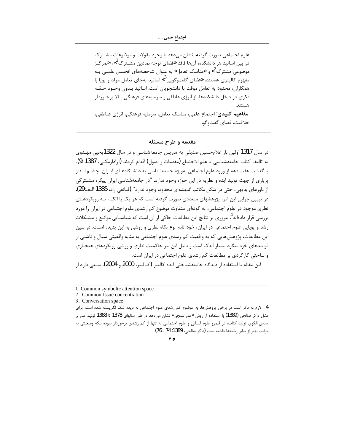علوم اجتماعی صورت گرفته، نشان میدهد با وجود مقولات و موضوعات مشـتر ک در بین اساتید هر دانشکده، آنها فاقد «فضای توجه نمادین مشــترک<sup>1</sup>»، «تمرکـز موضوعی مشترک<sup>2</sup>» و «مناسک تعامل» به عنوان شاخصههای انجمــن علمــی بــه مفهوم کالینزی هستند. «فضای گفتوگویی<sup>3</sup>» اساتید بهجای تعامل مولد و یویا با همكاران، محدود به تعامل موقت با دانشجويان است. اساتيد بـدون وجـود حلقـه فکری در داخل دانشکدهها، از انرژی عاطفی و سرمایههای فرهنگی بـالا برخـوردار هستند. مفاهيم كليدى: اجتماع علمي، مناسك تعامل، سرمايه فرهنگي، انرژى عـاطفي، خلاقيت، فضاي گفتوگو.

## مقدمه و طرح مسئله

در سال 1317 اولین بار غلامحسین صدیقی به تدریس جامعهشناسی و در سال 1322پحیی مهـدوی به تاليف كتاب جامعهشناسي يا علم الاجتماع (مقدمات و اصول) اقدام كردند (آزادارمكـي، 1387 :9). با گذشت هفت دهه از ورود علوم اجتماعی بهویژه جامعهشناسی به دانشـگاههـای ایـران، چشـم انـداز پرباری از جهت تولید ایده و نظریه در این حوزه وجود ندارد. "در جامعهشناسی ایران پیکره مشـتر کی از باورهای بدیهی، حتی در شکل مکاتب اندیشهای محدود، وجود ندارد" (قـانعی راد، 1385 الـف:29). در تبیین چرایی این امر، پژوهشهای متعددی صورت گرفته است که هر یک با اتکـاء بـه رویکردهـای نظری موجود در علوم اجتماعی، به گونهای متفاوت موضوع کم رشدی علوم اجتماعی در ایران را مورد بررسی قرار دادهاند". مروری بر نتایج این مطالعات حاکی از آن است که شناســایی موانــع و مشــکلات رشد و پویایی علوم اجتماعی در ایران، خود تابع نوع نگاه نظری و روشی به این پدیده است. در بـین این مطالعات، پژوهشهایی که به واقعیت کم رشدی علوم اجتماعی به مثابه واقعیتی سیال و ناشـی از .<br>فرایندهای خرد بنگرد بسیار اندک است و دلیل این امر حاکمیت نظری و روشی رویکردهای هنجـاری و ساختی کارکردی بر مطالعات کم رشدی علوم اجتماعی در ایران است.

این مقاله با استفاده از دیدگاه جامعهشناختی ایده کالینز (کـالینز، 2000 و 2004)، سـعی دارد از

<sup>4 .</sup> لازم به ذکر است در برخی پژوهشها، به موضوع کم رشدی علوم اجتماعی به دیده شک نگریسته شده است. برای مثال ذاکر صالحی (1389) با استفاده از روش «علم سنجی» نشان میدهد در طی سالهای 1378 تا 1388 تولید علم بر اساس الگوی تولید کتاب، در قلمرو علوم انسانی و علوم اجتماعی نه تنها از کم رشدی برخوردار نبوده بلکه وضعیتی به مراتب بهتر از ساير , شتهها داشته است (ذاكر صالحي، 1389: 74 \_ 76).



<sup>1.</sup> Common symbolic attention space

<sup>2.</sup> Common Issue concentration

<sup>3.</sup> Conversation space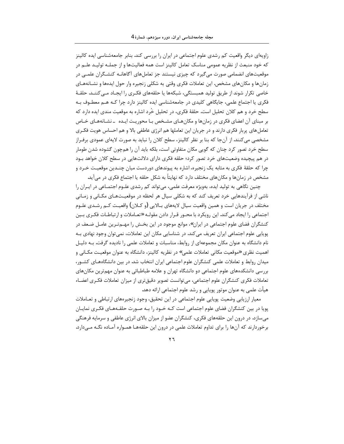زاویهای دیگر واقعیت کم رشدی علوم اجتماعی در ایران را بررسی کند. بنابر جامعهشناسی ایده کالینز که خود منبعث از نظریه عمومی مناسک تعامل کالینز است همه فعالیتها و از جملـه تولیـد علـم در موقعیتهای انضمامی صورت می گیرد که چیزی نیستند جز تعاملهای آگاهانـه کنشـگران علمـی در زمانها و مکانهای مشخص. این تعاملات فکری وقتی به شکلی زنجیره وار حول ایدهها و نشـانههـای خاصی تکرار شوند از طریق تولید همبستگی، شبکهها یا حلقههای فکـری را ایجـاد مـی کننــد. حلقــهٔ فکری یا اجتماع علمی، جایگاهی کلیدی در جامعهشناسی ایده کالینز دارد چرا کـه هـم معطـوف بـه سطح خرد و هم کلان تحلیل است. حلقهٔ فکری، در تحلیل خُرد اشاره به موقعیت مندی ایده دارد که بر مبنای آن اعضای فکری در زمانها و مکانهـای مشـخص بـا محوریـت ایـده \_نشـانههـای خـاص تعامل های پربار فکری دارند و در جریان این تعاملها هم انرژی عاطفی بالا و هم احساس هویت فکـری مشخصی می کنند. از آنجا که بنا بر نظر کالینز، سطح کلان را نباید به صورت لایهای عمودی برفـراز سطح خرد تصور کرد چنان که گویی مکان متفاوتی است، بلکه باید آن را همچون گشوده شدن طومار در هم پیچیده وضعیتهای خرد تصور کرد؛ حلقه فکری دارای دلالتهایی در سطح کلان خواهد بـود چرا که حلقهٔ فکری به مثابه یک زنجیره، اشاره به پیوندهای دوردست میان چنـدین موقعیـت خـرد و مشخص در زمانها و مکانهای مختلف دارد که نهایتاً به شکل حلقه یا اجتماع فکری در میآید.

چنین نگاهی به تولید ایده، بهویژه معرفت علمی، میتواند کم رشدی علـوم اجتمـاعی در ایـران را ناشی از فرآیندهایی خرد تعریف کند که به شکلی سیال هر لحظه در موقعیتهـای مکـانی و زمـانی مختلف در جريان است و همين واقعيت سيال لايههاي بــالايي (و كــلان) واقعيــت كــم رشــدي علــوم اجتماعی را ایجاد می کند. این رویکرد با محـور قـرار دادن مقولـه «تعـاملات و ارتباطـات فکـری بـین کنشگران فضای علوم اجتماعی در ایران»، موانع موجود در این بخـش را مهــمتـرین عامـل ضـعف در پویایی علوم اجتماعی ایران تعریف میکند. در شناسایی مکان این تعاملات، نمیتوان وجود نهادی بـه نام دانشگاه به عنوان مکان مجموعهای از روابط، مناسبات و تعاملات علمی را نادیده گرفت. بـه دلیـل اهميت نظري «موقعيت مكاني تعاملات علمي» در نظريه كالينز، دانشگاه به عنوان موقعيت مكــاني و میدان روابط و تعاملات علمی کنشگران علوم اجتماعی ایران انتخاب شد. در بین دانشگاههـای کشـور، بررسی دانشکدههای علوم اجتماعی دو دانشگاه تهران و علامه طباطبائی به عنوان مهم ترین مکانهای تعاملات فكرى كنشگران علوم اجتماعي، مي توانست تصوير دقيق ترى از ميزان تعاملات فكـرى اعضـاء هيأت علمي به عنوان موتور پويايي و رشد علوم اجتماعي ارائه دهد.

معیار ارزیابی وضعیت پوپایی علوم اجتماعی در این تحقیق، وجود زنجیرههای ارتباطی و تعــاملات یویا در بین کنشگران فضای علوم اجتماعی است کـه خـود را بـه صـورت حلقـههـای فکـری نمایـان میسازد. در درون این حلقههای فکری، کنشگران عضو از میزان بالای انرژی عاطفی و سرمایه فرهنگی برخوردارند که آنها را برای تداوم تعاملات علمی در درون این حلقههـا همـواره آمـاده نگـه مـی‹ارد.

 $\mathbf{y}$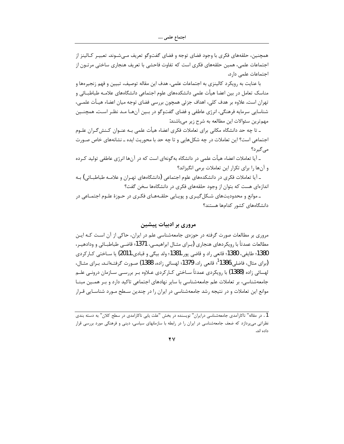همچنین، حلقههای فکری با وجود فضای توجه و فضای گفتوگو تعریف مـیشـوند. تعبیـر کـالینز از اجتماعات علمی، همین حلقههای فکری است که تفاوت فاحشی با تعریف هنجاری ساختی مرتــون از اجتماعات علمی دارد.

با عنایت به رویکرد کالینزی به اجتماعات علمی، هدف این مقاله توصیف، تبیین و فهم زنجیرهها و مناسک تعامل در بین اعضا هیأت علمی دانشکدههای علوم اجتماعی دانشگاههای علامـه طباطبــائی و تهران است. علاوه بر هدف کلی، اهداف جزئی همچون بررسی فضای توجه میان اعضاء هیـأت علمــی، شناسایی سرمایه فرهنگی، انرژی عاطفی و فضای گفتوگو در بـین آنهـا مـد نظـر اسـت. همچنـین مهمترین سئوالات این مطالعه به شرح زیر میباشند:

ـ تا چه حد دانشگاه مکانی برای تعاملات فکری اعضاء هیأت علمی بـه عنــوان کــنش5ــران علــوم اجتماعی است؟ این تعاملات در چه شکلهایی و تا چه حد با محوریت ایده ـ نشانههای خاص صـورت مے گیر د؟

ـ آيا تعاملات اعضاء هيأت علمي در دانشگاه بهگونهاي است كه در آنها انرژي عاطفي توليد كـرده و آنها را برای تکرار این تعاملات برمی انگیزاند؟

ـ آیا تعاملات فکری در دانشکدههای علوم اجتماعی (دانشگاههای تهـران و علامــه طباطبــائی) بــه اندازهای هست که بتوان از وجود حلقههای فکری در دانشگاهها سخن گفت؟

ـ موانع و محدودیتهای شـکلگیـری و پویـایی حلقـههـای فکـری در حـوزهٔ علـوم اجتمـاعی در دانشگاههای کشور کدامها هستند؟

# مروری بر ادبیات پیشین

مروری بر مطالعات صورت گرفته در حوزهی جامعهشناسی علم در ایران، حاکی از آن است کـه ایـن مطالعات عمدتاً با رويكردهاي هنجاري (بـراي مثـال ابراهيمـي، 1371؛ قاضـي طباطبــائي و ودادهيـر، 1380؛ طايفي، 1380؛ قانعي راد و قاضي پور،1381؛ ولد بيگي و قبادي،2011) يا ســاختي كــار كردي (براي مثال، فاضلي،1386<sup>1</sup>، قانعي <sub>د</sub>اد، 1379؛ لهسائي زاده، 1388) صـورت گرفتــهانــد. بــراي مثــال، لهسائي زاده (1388) با رويكردي عمدتاً ســاختي كــار كردي عــلاوه بــر بررســي ســازمان درونــي علــم جامعهشناسی، بر تعاملات علم جامعهشناسی با سایر نهادهای اجتماعی تاکید دارد و بـر همـین مبنــا موانع این تعاملات و در نتیجه رشد جامعهشناسی در ایران را در چندین سطح مـورد شناسـایی قـرار

 $\mathbf{y}$ 

<sup>1 .</sup> در مقاله" ناكارآمدي جامعهشناسي درايران" نويسنده در بخش "علت يابي ناكارامدي در سطح كلان" به دسته بندي نظراتی میپردازد که ضعف جامعهشناسی در ایران را در رابطه با سازمانهای سیاسی، دینی و فرهنگی مورد بررسی قرار داده اند.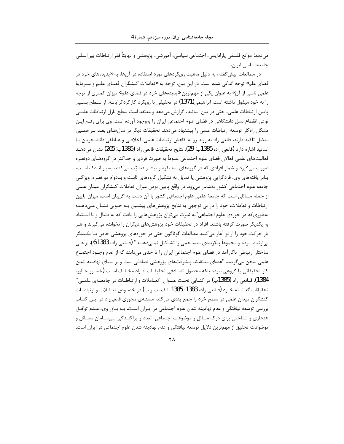مىدهد: موانع فلسفى پارادايمى، اجتماعى سياسى، آموزشى، پژوهشى و نهايتاً فقر ارتباطات بينالمللى جامعەشناسى ايران.

در مطالعات پیش گفته، به دلیل ماهیت رویکردهای مورد استفاده در آنها، به «پدیدههای خرد در فضای علم» توجه اندکی شده است. در این بین، توجه به «تعاملات کنشگران فضـای علــم و ســرمایهٔ علمی ناشی از آن» به عنوان یکی از مهمترین «پدیدههای خرد در فضای علم» میزان کمتری از توجه را به خود مبذول داشته است. ابراهیمی(1371) در تحقیقی با رویکرد کار کردگرایانـه، از سـطح بسـیار پایین ارتباطات علمی، حتی در بین اساتید، گزارش میدهد و معتقد است سطح نازل ارتباطات علمـی نوعی انقطاع نسل دانشگاهی در فضای علوم اجتماعی ایران را بهوجود آورده است. وی برای رفـع ایـن مشکل راه کار توسعه ارتباطات علمی را پیشنهاد میدهد. تحقیقات دیگر در سال هـای بعــد بــر همــین معضل تاکید دارند. قانعی راد به روند رو به کاهش ارتباطات علمی، اخلاقبی و عـاطفی دانشــجویان بــا اساتيد اشاره دارد (قانعي راد، 1385ب: 29). نتايج تحقيقات قانعي راد (1385پ: 265) نشان مي،دهــد فعالیتهای علمی فعالان فضای علوم اجتماعی عموماً به صورت فردی و حداکثر در گروههـای دونفـره صورت می گیرد و شمار افرادی که در گروههای سه نفره و بیشتر فعالیّت می کنند بسیار انـدک اسـت. بنابر یافتههای وی، فردگرایی پژوهشی یا تمایل به تشکیل گروههای ثابت و بـادوام دو نفـره، ویژگـی جامعه علوم اجتماعی کشور بهشمار میرود. در واقع پایین بودن میزان تعاملات کنشگران میدان علمی از جمله مسائلی است که جامعهٔ علمی علوم اجتماعی کشور با آن دست به گریبان است. میزان پایین ارتباطات و تعاملات، خود را در بی توجهی به نتایج پژوهشهای پیشـین بـه خـوبی نشـان مـیدهـد؛ بهطوری که در حوزهی علوم اجتماعی"به ندرت میتوان پژوهشهایی را یافت که به دنبال و با اسـتناد به یکدیگر صورت گرفته باشند. افراد در تحقیقات خود پژوهشهای دیگران را نخوانده میگیرند و هـر بار حرکت خود را از نو آغاز میکنند مطالعات گوناگون حتی در حوزههای پژوهشی خاص بـا یکـدیگر بي|رتباط بوده و مجموعاً پيكربندي منسـجمي را تشـكيل نمـيدهنـد" (قـانعي راد، 1383:6). برخـي ساختار ارتباطی ناکارآمد در فضای علوم اجتماعی ایران را تا حدی می دانند که از عدم وجـود اجتمـاع علمی سخن می گویند. "عدهای معتقدند پیشرفتهای پژوهشی تصادفی است و بر مبنای نهادینه شدن كار تحقيقاتي يا گروهي نبوده بلكه محصول تصـادفي تحقيقــات افــراد مختلــف اســت (خســرو خــاور، 1384). قــانعي راد (1385پ) در كتــابي تحـت عنــوان "تعــاملات و ارتباطــات در جامعــهي علمــي" تحقيقات گذشـته خـود (قــانعي راد، 1383؛ 1385 الـف، ب و ت) در خصـوص تعــاملات و ارتباطــات کنشگران میدان علمی در سطح خرد را جمع بندی می کند. مسئلهی محوری قانعی راد در ایـن کتـاب بررسی توسعه نیافتگی و عدم نهادینه شدن علوم اجتماعی در ایـران اسـت. بـه بـاور وی، عـدم توافـق هنجاری و شناختی برای درک مسائل و موضوعات اجتماعی، تعدد و پراکنـدگی بـی،سـامان مسـائل و موضوعات تحقیق از مهمترین دلایل توسعه نیافتگی و عدم نهادینه شدن علوم اجتماعی در ایران است.

 $\mathsf{Y}\,\mathsf{A}$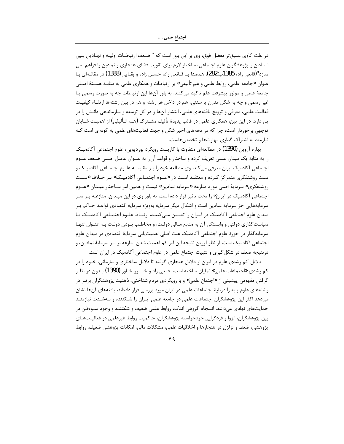در علت كاوى عميقتر معضل فوق، وى بر اين باور است كه " ضـعف ارتباطـات اوليـه و نهـادين بـين استادان و پژوهشگران علوم اجتماعی، ساختار لازم برای تقویت فضای هنجاری و نمادین را فراهم نمی سازد"(قانعي راد، 1385پ:282). همصدا بــا قــانعي راد، حســن زاده و بقــايي (1388) در مقالــهاي بــا عنوان «جامعه علمي، روابط علمي و هم تأليفي» بر ارتباطات و همكاري علمي به مثابـه هسـتهٔ اصـلي جامعهٔ علمی و موتور پیشرفت علم تاکید میکنند. به باور آنها این ارتباطات چه به صورت رسمی یـا غیر رسمی و چه به شکل مدرن یا سنتی، هم در داخل هر رشته و هم در بین رشتهها ارتقـاء کیفیـت فعالیت علمی، معرفی و ترویج یافتههای علمی، انتشار آنها و در کل توسعه و سازماندهی دانـش را در پی دارد. در این بین، همکاری علمی در قالب پدیدهٔ تألیف مشــترک (هــم تـألیفی) از اهمیــت شــایان توجهی برخوردار است، چرا که در دهههای اخیر شکل و جهت فعالیتهای علمی به گونهای است کـه نیا;مند به اشتراک گذاری مهارتها و تخصصهاست.

بهاره آروین (1390) در مطالعهای متفاوت با کاربست رویکرد بوردیویی، علوم اجتماعی آکادمیـک را به مثابه یک میدان علمی تعریف کرده و ساختار و قواعد آن را به عنـوان عامـل اصـلی ضـعف علـوم اجتماعی آکادمیک ایران معرفی می کند. وی مطالعه خود را بـر مقایسـه علـوم اجتمـاعی آکادمیـک و سنت روشنفکری متمرکز کـرده و معتقـد اسـت در «علـوم اجتمـاعی آکادمیـک» بـر خـلاف «سـنت روشنفکری» سرمایهٔ اصلی مورد منازعه «سرمایه نمادین» نیست و همین امر سـاختار میـدان «علـوم اجتماعی آکادمیک در ایران» را تحت تاثیر قرار داده است. به باور وی در این میـدان، منازعـه بـر سـر سرمايههايي جز سرمايه نمادين است و اشكال ديگر سرمايه بهويژه سرمايه اقتصادي قواعـد حــاكم بــر میدان علوم اجتماعی آکادمیک در ایـران را تعیـین مـی کننـد. ارتبـاط علـوم اجتمـاعی آکادمیـک بـا سیاست گذاری دولتی و وابستگی آن به منابع مـالی دولـت، و مخاطـب بـودن دولـت بـه عنـوان تنهـا سرمایهگذار در حوزهٔ علوم اجتماعی آکادمیک علت اصلی اهمیتیابی سرمایهٔ اقتصادی در میدان علوم اجتماعی آکادمیک است. از نظر آروین نتیجه این امر کم اهمیت شدن منازعه بر سر سرمایهٔ نمادین، و درنتیجه ضعف در شکل گیری و تثبیت اجتماع علمی در علوم اجتماعی آکادمیک در ایران است.

دلایل کم رشدی علوم در ایران از دلایل هنجاری گرفته تا دلایل ساختاری و سازمانی، خـود را در کم رشدی «اجتماعات علمی» نمایان ساخته است. قانعی راد و خسـرو خـاور (1390) بـدون در نظـر گرفتن مفهومی پیشینی از «اجتماع علمی» و با رویکردی مردم شناختی، ذهنیت پژوهشگران برتـر در رشتههای علوم پایه را دربارهٔ اجتماعات علمی در ایران مورد بررسی قرار دادهاند. یافتههای آنها نشان میدهد اکثر این پژوهشگران اجتماعات علمی در جامعه علمی ایـران را شـکننده و بـهشـدت نیازمنـد حمایتهای نهادی می دانند. انسجام گروهی اندک، روابط علمی ضعیف و شکننده و وجود سـوءظن در بین پژوهشگران، انزوا و فردگرایی خودخواسته پژوهشگران، حاکمیت روابط غیرعلمی در فعالیــتهــای پژوهشی، ضعف و تزلزل در هنجارها و اخلاقیات علمی، مشکلات مالی، امکانات پژوهشی ضعیف، روابط

 $44$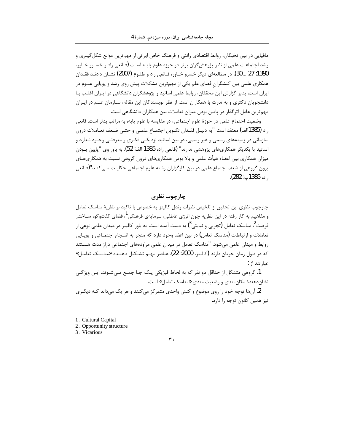مافیایی در بین نخبگان، روابط اقتصادی رانتی و فرهنگ خاص ایرانی از مهمترین موانع شکل گیـری و رشد اجتماعات علمی از نظر پژوهش گران برتر در حوزه علوم پایـه اسـت (قـانعی راد و خسـرو خـاور، 1390: 27 \_ 30). در مطالعهاي ديگر خسرو خـاور، قـانعي راد و طلـوع (2007) نشــان دادنــد فقــدان همکاری علمی بین کنشگران فضای علم یکی از مهمترین مشکلات پیش روی رشد و پوپایی علـوم در ایران است. بنابر گزارش این محققان، روابط علمی اساتید و پژوهشگران دانشگاهی در ایـران اغلـب بـا دانشجویان دکتری و به ندرت با همکاران است. از نظر نویسندگان این مقاله، سـازمان علــم در ایــران مهم ترین عامل اثر گذار در پایین بودن میزان تعاملات بین همکاران دانشگاهی است.

وضعیت اجتماع علمی در حوزهٔ علوم اجتماعی، در مقایسه با علوم پایه، به مراتب بدتر است. قانعی راد (1385الف) معتقد است "به دليـل فقـدان تكـوين اجتمـاع علمـي و حتـي ضـعف تعـاملات درون سازمانی در زمینههای رسمی و غیر رسمی، در بین اساتید نزدیکـی فکـری و معرفتـی وجـود نـدارد و اساتید با یکدیگر همکاریهای پژوهشی ندارند" (قانعی راد، 1385 الف: 52). به باور وی "پایین بـودن میزان همکاری بین اعضاء هیأت علمی و بالا بودن همکاریهای درون گروهی نسبت به همکاریهـای برون گروهی از ضعف اجتماع علمی در بین کارگزاران رشته علوم اجتماعی حکایـت مـی کنـد"(قــانعی , اد، 1385پ: 282).

# چارچوب نظری

چارچوب نظری این تحقیق از تلخیص نظرات رندل کالینز به خصوص با تاکید بر نظریهٔ مناسک تعامل و مفاهیم به کار رفته در این نظریه چون انرژی عاطفی، سرمایهی فرهنگی<sup>1</sup>، فضای گفتوگو، ســاختار فرصت<sup>2</sup>، مناسک تعامل (تجربی و نیابتی<sup>3</sup>) به دست آمده است. به باور کالینز در میدان علمی نوعی از تعاملات و ارتباطات (مناسک تعامل) در بین اعضا وجود دارد که منجر به انسجام اجتمــاعی و پویــایی روابط و میدان علمی میشود. "مناسک تعامل در میدان علمی مراودههای اجتماعی دراز مدت هسـتند که در طول زمان جریان دارند (کالینز، 2000: 22). عناصر مهـم تشـکیل دهنـده «مناسـک تعامـل» عبا, تند از :

1. گروهي متشكل از حداقل دو نفر كه به لحاظ فيزيكي يـك جـا جمـع مـيشـوند. ايـن ويژگـي نشان دهندهٔ مکان مندی و وضعیت مندی «مناسک تعامل» است.

2. آنها توجه خود را روی موضوع و کنش واحدی متمرکز می کنند و هر یک می داند کـه دیگـری نيز همين كانون توجه را دارد.

#### $\mathbf{r}$  .

<sup>1.</sup> Cultural Capital

<sup>2.</sup> Opportunity structure

<sup>3.</sup> Vicarious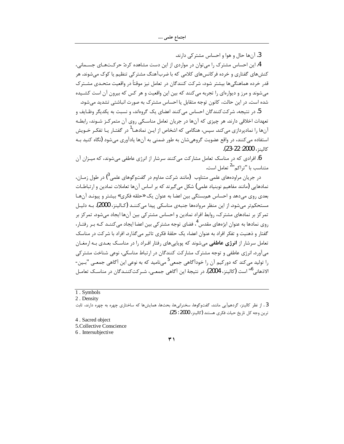3. آنها حال و هوا و احساس مشتركي دارند.

4.این احساس مشترک را می توان در مواردی از این دست مشاهده کرد: حرکتهای جسـمانی، کنشهای گفتاری و خرده فرکانسهای کلامی که با ضربآهنگ مشترکی تنظیم یا کوک می شوند. هر قدر خرده هماهنگی ها بیشتر شود، شرکت کنندگان در تعامل نیز موقتاً در واقعیت متحـدی مشـترک می شوند و مرز و دیوارهای را تجربه می کنند که بین این واقعیت و هر کس که بیرون آن است کشــیده شده است. در این حالت، کانون توجه متقابل یا احساس مشترک به صورت انباشتی تشدید می شود.

5. در نتیجه، شرکت کنندگان احساس میکنند اعضای یک گروهاند، و نسبت به یکدیگر وظـایف و تعهدات اخلاقی دارند. هر چیزی که آنها در جریان تعامل مناسکی روی آن متمرکز شـوند، رابطـه آنها را نمادپردازی میکند. سپس، هنگامی که اشخاص از ایـن نمادهــا<sup>1</sup> در گفتـار یـا تفکـر خـویش استفاده می *ک*نند، در واقع عضویت گروهی شان به طور ضمنی به آنها یادآوری می شود (نگاه کنید بـه كالينز، 2000: 22-23).

. افرادی که در مناسک تعامل مشارکت میکنند سرشار از انرژی عاطفی میشوند، که میـزان آن متناسب با "تراكم"<sup>2</sup> تعامل است.

در جریان مراودههای علمی متناوب (مانند شرکت مداوم در گفتوگوهای علمی<sup>3</sup>) در طول زمـان، نمادهایی (مانند مفاهیم نوبنیاد علمی) شکل میگیرند که بر اساس آنها تعاملات نمادین و ارتباطـات بعدی روی میدهد و احساس هم بستگی بین اعضا به عنوان یک «حلقه فکری» بیشتر و پیونـد آنهـا مستحکم تر می شود. از این منظر مروادهها جنبهی مناسکی پیدا می کننـد (کـالینز، 2000). بـه دلیـل تمر کز بر نمادهای مشترک، روابط افراد نمادین و احساس مشتر کی بین آنها ایجاد میشود. تمر کز بر روی نمادها به عنوان ابژههای مقدس<sup>4</sup>، فضای توجه مشتر کی بین اعضا ایجاد می *ک*ننــد کــه بـر رفتــار، گفتار و ذهنیت و تفکر افراد به عنوان اعضاء یک حلقهٔ فکری تاثیر می گذارد. افراد با شرکت در مناسک تعامل سرشار از **انرژی عاطفی** میشوند که پویاییهای رفتار افـراد را در مناسـک بعـدی بـه ارمغـان می آورد. انرژی عاطفی و توجه مشترک مشارکت کنندگان در ارتباط مناسکی، نوعی شناخت مشترکی را تولید می *ک*ند که دورکیم آن را خودآگاهی جمعی<sup>5</sup> میiامید که به نوعی این آگاهی جمعـی "بـین-الاذهاني<sup>6</sup>" است (كالينز، 2004). در نتيجهٔ اين آگاهي جمعـي، شـركتكننـدگان در مناسـك تعامـل

- 4. Sacred object
- 5.Collective Conscience
- 6. Intersubjective

 $\overline{r}$ 

<sup>1.</sup> Symbols

<sup>2.</sup> Density

<sup>3 .</sup> از نظر کالینز، گردهمآیی مانند، گفتوگوها، سخنرانیها، بحثها، همایشها که ساختاری چهره به چهره دارند، ثابت ترين وجه كل تاريخ حيات فكرى هستند (كالينز، 2000 : 25).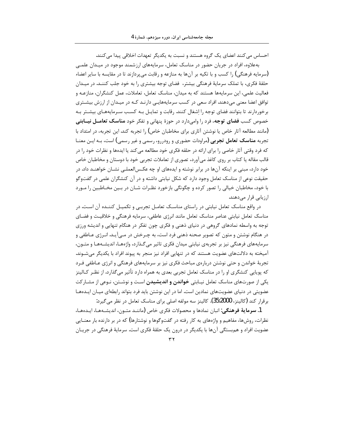احساس می کنند اعضای یک گروه هستند و نسبت به یکدیگر تعهدات اخلاقی پیدا می کنند. بهعلاوه، افراد در جریان حضور در مناسک تعامل، سرمایههای ارزشمند موجود در میـدان علمـی (سرمایه فرهنگی) را کسب و با تکیه بر آنها به منازعه و رقابت میپردازند تا در مقایسه با سایر اعضاء حلقهٔ فکری، با تملک سرمایهٔ فرهنگی بیشتر، فضای توجه بیشتری را به خود جلب کننـد. در میـدان فعالیت علمی، این سرمایهها هستند که به میدان، مناسک تعامل، تعاملات، عمل کنشگران، منازعـه و توافق اعضا معنی میدهند. افراد سعی در کسب سرمایههایـی دارنـد کـه در میـدان از ارزش بیشـتری برخوردارند تا بتوانند فضای توجه را اشغال کنند. رقابت و تمایـل بـه کسـب سـرمایههـای بیشـتر بـه خصوص کسب **فضای توجه،** فرد را وامیدارد در حوزهٔ پنهانی و تفکر خود **مناسک تعامــل نیــابتی** (مانند مطالعه آثار خاص یا نوشتن آثاری برای مخاطبان خاص) را تجربه کند. این تجربه، در امتداد با تجربه **مناسک تعامل تجربی (**مراودات حضوری و رودررو، رسمی و غیر رسمی) است، بـه ایـن معنــا که فرد وقتی آثار خاصی را برای ارائه در حلقه فکری خود مطالعه میکند یا ایدهها و نظرات خود را در قالب مقاله یا کتاب بر روی کاغذ میآورد، تصوری از تعاملات تجربی خود با دوستان و مخاطبان خاص خود دارد، مبنی بر اینکه آنها در برابر نوشته و ایدههای او چه عکسالعملـی نشـان خواهنـد داد. در حقیقت نوعی از مناسک تعامل وجود دارد که شکل نیابتی داشته و در آن کنشگران علمی در گفتوگو با خود، مخاطبان خیالی را تصور کرده و چگونگی بازخورد نظـرات شـان در بـین مخـاطبین را مـورد ارزیابی قرار میدهند.

در واقع مناسک تعامل نیابتی در راستای مناسک تعامـل تجربـی و تکمیـل کننـده آن اسـت. در مناسک تعامل نیابتی عناصر مناسک تعامل مانند انرژی عاطفی، سرمایه فرهنگی و خلاقیت و فضـای توجه به واسطه نمادهای گروهی در دنیای ذهنی و فکری چون تفکر در هنگام تنهایی و اندیشه ورزی در هنگام نوشتن و متون که تصویر صحنه ذهنی فرد است، به چـرخش در مـیآیـد. انـرژی عـاطفی و سرمایههای فرهنگی نیز بر تجربهی نیابتی میدان فکری تاثیر می گـذارد، واژههـا، اندیشـههـا و متـون، آمیخته به دلالتهای عضویت هستند که در تنهایی افراد نیز منجر به پیوند افراد با یکدیگر میشـوند. تجربهٔ خواندن و حتی نوشتن دربارهی مباحث فکری نیز بر سرمایههای فرهنگی و انرژی عـاطفی فـرد که پویایی کنشگری او را در مناسک تعامل تجربی بعدی به همراه دارد تأثیر می $\vec{c}$ ذارد. از نظـر کـالینز یکی از صورتهای مناسک تعامل نیـابتی **خواندن و اندیشیدن** اسـت و نوشـتن، نـوعی از مشـار کت عضویتی در دنیای عضویتهای نمادین است. اما در این نوشتن باید فرد بتواند رابطهای میـان ایـدههـا برقرار كند (كالينز، 35:2000). كالينز سه مولفه اصلي براي مناسك تعامل در نظر مي گيرد:

1. **سرماية فرهنگي**: انبان نمادها و محصولات فكرى خاص (ماننـد متـون، انديشـههـا، ايـدههـا، نظرات، روشها، مفاهیم و واژههای به کار رفته در گفتوگوها و نوشتارها) که در بر دارنده بار معنــایی عضویت افراد و هم بستگی آنها با یکدیگر در درون یک حلقهٔ فکری است. سرمایهٔ فرهنگی در جریـان

 $\tau \tau$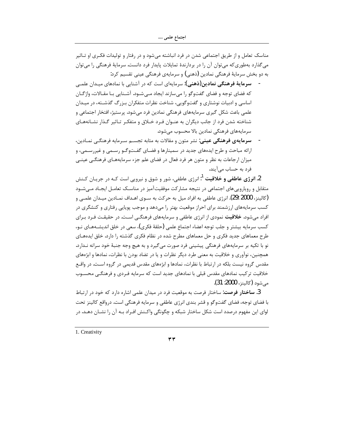مناسک تعامل و از طریق اجتماعی شدن در فرد انباشته میشود و در رفتار و تولیدات فکـری او تـاثیر می گذارد بهطوری که می توان آن را در بردارندهٔ تمایلات پایدار فرد دانست. سرمایهٔ فرهنگی را می توان به دو بخش سرمایهٔ فرهنگی نمادین (ذهنی) و سرمایهی فرهنگی عینی تقسیم کرد:

- ِ **سرمایهٔ فرهنگی نمادین(ذهنی):** سرمایهای است که در آشنایی با نمادهای میـدان علمـی که فضای توجه و فضای گفتوگو را می سازند ایجاد مـی شـود. آشـنایی بـا مقـالات، واژگـان اساسی و ادبیات نوشتاری و گفتوگویی، شناخت نظرات متفکران بـزرگ گذشـته، در میـدان علمی باعث شکل گیری سرمایههای فرهنگی نمادین فرد میشود. پرستیژ، افتخار اجتماعی و شناخته شدن فرد از جانب دیگران به عنـوان فـرد خـلاق و متفکـر تـاثیر گـذار نشـانههـای سرمایههای فرهنگی نمادین بالا محسوب می شود.
- **سرمایهی فرهنگی عینی**: نشر متون و مقالات به مثابه تجسـم سـرمایه فرهنگـی نمـادین، ارائه مباحث و طرح ایدههای جدید در سمینارها و فضـای گفـتوگـو رسـمی و غیررسـمی، و میزان ارجاعات به نظر و متون هر فرد فعال در فضای علم جزء سرمایههـای فرهنگـی عینـی فرد به حساب می آیند.

2. **انرژی عاطفی و خلاقیت** <sup>1</sup>: انرژی عاطفی، شور و شوق و نیرویی است کـه در جریـان کـنش متقابل و رویارویی های اجتماعی در نتیجه مشارکت موفقیتآمیز در مناسـک تعامـل ایجـاد مــی شـود (كالينز، 2000 :29). انرژي عاطفي به افراد ميل به حركت به ســوي اهــداف نمــادين ميــدان علمــي و کسب سرمایههای ارزشمند برای احراز موقعیت بهتر را میدهد و موجب پویایی رفتاری و کنشگری در افراد میشود. **خلاقیت** نمودی از انرژی عاطفی و سرمایههای فرهنگـی اسـت. در حقیقـت فـرد بـرای كسب سرمايه بيشتر و جلب توجه اعضاء اجتماع علمي (حلقهٔ فكرى)، سعى در خلق انديشــههــاي نــو، طرح معماهای جدید فکری و حل معماهای مطرح شده در نظام فکری گذشته را دارد. خلق ایدههـای نو با تکیه بر سرمایههای فرهنگی پیشینی فرد صورت میگیرد و به هیچ وجه جنبهٔ خود سرانه نـدارد. همچنین، نوآوری و خلاقیت به معنی طرد دیگر نظرات و یا در تضاد بودن با نظرات، نمادها و ابژههای مقدس گروه نیست بلکه در ارتباط با نظرات، نمادها و ابژههای مقدس قدیمی در گروه اسـت. در واقـع خلاقیت ترکیب نمادهای مقدس قبلی با نمادهای جدید است که سرمایه فـردی و فرهنگـی محسـوب مي شود (كالينز، 2000: 31).

3. **ساختار فرصت**: ساختار فرصت به موقعیت فرد در میدان علمی اشاره دارد که خود در ارتباط با فضای توجه، فضای گفتوگو و قشر بندی انرژی عاطفی و سرمایه فرهنگی است. درواقع کالینز تحت لوای این مفهوم درصدد است شکل ساختار شبکه و چگونگی واکـنش افـراد بـه آن را نشـان دهـد. در

1. Creativity

 $\tau$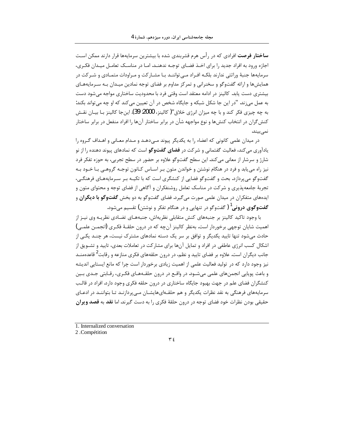**ساختار فرصت** افرادی که در رأس هرم قشربندی شده با بیشترین سرمایهها قرار دارند ممکن است اجازه ورود به افراد جدید را برای اخــذ فضــای توجــه ندهنــد. امــا در مناســک تعامــل میــدان فکــری، سرمایهها جنبهٔ وراثتی ندارند بلکـه افـراد مـی تواننـد بـا مشـار کت و مـراودات متمـادی و شـر کت در همایش ها و ارائه گفتوگو و سخنرانی و تمرکز مداوم بر فضای توجه نمادین میـدان بـه سـرمایههـای بیشتری دست یابد. کالینز در ادامه معتقد است وقتی فرد با محدودیت ساختاری مواجه میشود دست به عمل می;ند. "در این جا شکل شبکه و جایگاه شخص در آن تعیین می کند که او چه می تواند بکند: به چه چیزی فکر کند و با چه میزان انرژی خلاق"( کالینز، 2000: 39). این جا کالینز بـا بیـان نقـش کنش گران در انتخاب کنش ها و نوع مواجهه شأن در برابر ساختار آن ها را افراد منفعل در برابر ساختار نمىبيند.

در میدان علمی کانونی که اعضاء را به یکدیگر پیوند مـی۵هـد و مـدام معـانی و اهـداف گـروه را یادآوری می کند، فعالیت گفتمانی و شرکت در **فضای گفتوگو** است که نمادهای پیوند دهنده را از نو شارژ و سرشار از معانی می کند. این سطح گفتوگو علاوه بر حضور در سطح تجربی، به حوزه تفکر فرد نیز راه می یابد و فرد در هنگام نوشتن و خواندن متون بـر اسـاس كـانون توجـه گروهـی بـا خـود بـه گفتوگو می پردازد. بحث و گفتوگو فضایی از کنشگری است که با تکیـه بـر سـرمایههـای فرهنگـی، تجربهٔ جامعهپذیری و شرکت در مناسک تعامل روشنفکران و آگاهی از فضای توجه و محتوای متون و ایدههای متفکران در میدان علمی صورت می گیرد. فضای گفتوگو به دو بخش **گفتوگو با دیگران** و **گفتوگوی درونی<sup>1</sup> (**گفتوگو در تنهایی و در هنگام تفکر و نوشتن) تقسیم می شود.

با وجود تاکید کالینز بر جنبههای کنش متقابلی نظریهاش، جنبههـای تضـادی نظریـه وی نیـز از اهميت شايان توجهي برخوردار است. بهنظر كالينز آنچه كه در درون حلقـهٔ فكـرى (انجمــن علمــي) حادث می شود تنها تایید یکدیگر و توافق بر سر یک دسته نمادهای مشترک نیست، هر چنـد یکـی از اشکال کسب انرژی عاطفی در افراد و تمایل آنها برای مشارکت در تعاملات بعدی، تایید و تشـویق از جانب دیگران است. علاوه بر فضای تایید و نظم، در درون حلقههای فکری منازعه و رقابت<sup>2</sup> قاعدهمنـد نیز وجود دارد که در تولید فعالیت علمی از اهمیت زیادی برخوردار است چرا که مانع ایستایی اندیشه و باعث پوپایی انجمنهای علمی می شـود. در واقـع در درون حلقـههـای فکـری، رقـابتی جـدی بـین کنشگران فضای علم در جهت بهبود جایگاه ساختاری در درون حلقه فکری وجود دارد. افراد در قالب سرمایههای فرهنگی به نقد نظرات یکدیگر و هم حلقـهایهایشـان مـی پردازنـد تـا بتواننـد در ادعـای حقیقی بودن نظرات خود فضای توجه در درون حلقهٔ فکری را به دست گیرند. اما **نقد** به **قصد ویران** 

1. Internalized conversation

2.Compétition

 $\tau$  {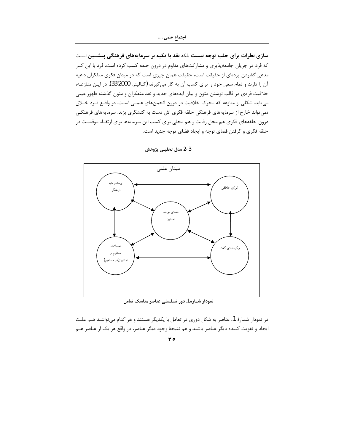اجتماع علمي ….

سازی نظرات برای جلب توجه نیست بلکه نقد با تکیه بر سرمایههای فرهنگی پیشــین اسـت که فرد در جریان جامعهپذیری و مشارکتهای مداوم در درون حلقه کسب کرده است. فرد با این کـار مدعی گشودن پردهای از حقیقت است، حقیقت همان چیزی است که در میدان فکری متفکران داعیه آن را دارند و تمام سعی خود را برای کسب آن به کار می گیرند (کـالینز، 33:2000). در ایـن منازعـه، خلاقیت فردی در قالب نوشتن متون و بیان ایدههای جدید و نقد متفکران و متون گذشته ظهور عینی می یابد. شکلی از منازعه که محرک خلاقیت در درون انجمنهای علمـی اسـت. در واقـع فـرد خـلاق نمی تواند خارج از سرمایههای فرهنگی حلقه فکری اش دست به کنشگری بزند. سرمایههای فرهنگـی درون حلقههای فکری هم محل رقابت و هم محلی برای کسب این سرمایهها برای ارتقـاء موقعیـت در حلقه فكرى و گرفتن فضاى توجه و ايجاد فضاى توجه جديد است.



3-2 مدل تحليلي پژوهش

نمودار شماره 1. دور تسلسلی عناصر مناسک تعامل

در نمودار شمارهٔ 1، عناصر به شکل دوری در تعامل با یکدیگر هستند و هر کدام میتواننـد هـم علـت ایجاد و تقویت کننده دیگر عناصر باشند و هم نتیجهٔ وجود دیگر عناصر. در واقع هر یک از عناصر هـم

 $r \circ$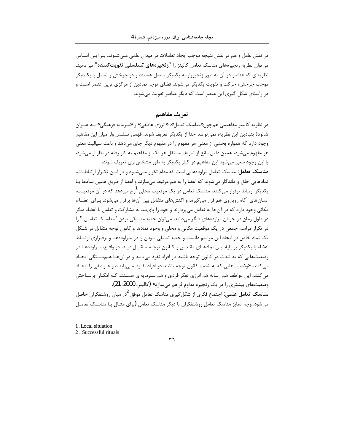در نقش عامل و هم در نقش نتیجه موجب ایجاد تعاملات در میدان علمی مـیشـوند. بـر ایـن اسـاس می توان نظریه زنجیرههای مناسک تعامل کالینز را "**زنجیرههای تسلسلی تقویتکننده**" نیز نامید. نظریهای که عناصر در آن به طور زنجیروار به یکدیگر متصل هستند و در چرخش و تعامل با یکـدیگر موجب چرخش، حرکت و تقویت یکدیگر میشوند. فضای توجه نمادین از مرکزی ترین عنصر است و در راستای شکل گیری این عنصر است که دیگر عناصر تقویت میشوند.

تعريف مفاهيم

در نظریه کالینز مفاهیمی همچون«مناسک تعامل»، «انرژی عاطفی» و «سرمایه فرهنگی» بـه عنـوان شالودهٔ بنیادین این نظریه، نمی توانند جدا از یکدیگر تعریف شوند. فهمی تسلسل وار میان این مفاهیم وجود دارد که همواره بخشی از معنی هر مفهوم را در مفهوم دیگر جای میدهد و باعث سیالیت معنی هر مفهوم میشود. همین دلیل مانع از تعریف مستقل هر یک از مفاهیم به کار رفته در نظر او می شود. با این وجود سعی میشود این مفاهیم در کنار یکدیگر به طور مشخص تری تعریف شوند.

مناسک تعامل: مناسک تعامل مراودههایی است که مدام تکرار مے شـود و در ایـن تکـرار ارتباطـات، نمادهایی خلق و ماندگار میشوند که اعضا را به هم مرتبط میسازند و اعضا از طریق همین نمادها بـا یکدیگر ارتباط برقرار می *ک*نند. مناسک تعامل در یک موقعیت محلی <sup>1</sup>رخ میدهد که در آن موقعیت، انسان های آگاه رویاروی هم قرار می گیرند و اکنشهای متقابل بین آنها برقرار میشود. بـرای اعضـاء، مکانی وجود دارد که در آنجا به تعامل می پردازند و خود را پایبند به مشارکت و تعامل با اعضاء دیگر در طول زمان در جریان مراودههای دیگر می دانند. می توان جنبه مناسکی بودن "مناسـک تعامـل " را در تکرار مراسم جمعی در یک موقعیت مکانی و محلی و وجود نمادها و کانون توجه متقابل در شـکل یک نماد خاص در ایجاد این مراسم دانست و جنبه تعاملی بیودن را در میراودهها و برقیراری ارتباط اعضاء با يكديگر بر پايهٔ ايـن نمادهـاي مقـدس و كـانون توجـه متقابـل ديـد. در واقـع، مـراودههـا در وضعیتهایی که به شدت در کانون توجه باشند در افراد نفوذ می یابند و در آنهـا هـم بسـتگی ایجـاد مي كنند. «وضعيتهايي كه به شدت كانون توجه باشند در افراد نفـوذ مــ<sub>ي ب</sub>ابنــد و عــواطفي را ايجــاد می کنند. این عواطف هم رسانه هم انرژی تفکر فردی و هم سـرمایهای هسـتند کـه امکـان برسـاختن وضعیتهای بیشتری را در یک زنجیره مداوم فراهم میسازد» (کالینز، 2000: 21).

**مناسک تعامل علمی: ا**جتماع فکری از شکل *گ*یری مناسک تعامل موفق <sup>ک</sup>در میان روشنفکران حاصل می شود. وجه تمایز مناسک تعامل روشنفکران با دیگر مناسک تعامل (برای مثـال بـا مناســک تعامــل



<sup>1.</sup> Local situation

<sup>2.</sup> Successful rituals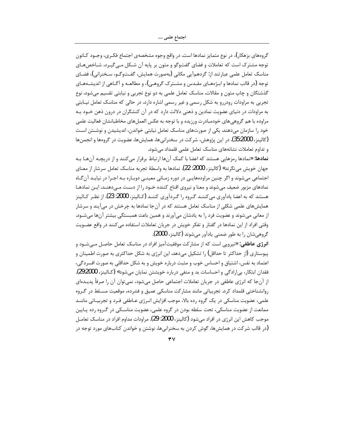گروههای بزهکار)، در نوع متمایز نمادها است. در واقع وجوه مشخصهی اجتماع فکـری، وجـود کـانون توجه مشترک است که تعاملات و فضای گفتوگو و متون بر پایه آن شـکل مـی گیـرد. شـاخصهـای مناسک تعامل علمی عبارتند از: گردهمآیی مکانی (بهصورت همایش، گفـتوگـو، سـخنرانی)، فضـای توجه (در قالب نمادها و ابـژەهـای مقـدس و مشـترک گروهـی)، و مطالعـه و آگـاهی از اندیشـههـای گذشتگان و چاپ متون و مقالات. مناسک تعامل علمی به دو نوع تجربی و نیابتی تقسیم میشود. نوع تجربی به مراودات رودررو به شکل رسمی و غیر رسمی اشاره دارد. در حالی که مناسک تعامل نیــابتی به مراودات در دنیای عضویت نمادین و ذهنی دلالت دارد که در آن کنشگران در درون ذهن خــود بــه مراوده با هم گروهی های خودمبادرت ورزیده و با توجه به عکس العمل های مخاطبانشان فعالیت علمی خود را سازمان میدهند. یکی از صورتهای مناسک تعامل نیابتی خواندن، اندیشیدن و نوشـتن اسـت (كالينز، 35:2000). در اين پژوهش، شركت در سخنراني ها، همايش&ا، عضويت در گروهها و انجمن ها و تداوم تعاملات نشانههای مناسک تعامل علمی قلمداد می شود.

**نمادها:** «نمادها <sub>د</sub>مزهایی هستند که اعضا با کمک آنها ارتباط برقرار میکنند و از دریچـه آنهـا بـه جهان خويش مي نگرند» (كالينز، 2000: 22). نمادها به واسطهٔ تجربه مناسک تعامل سرشار از معناي اجتماعی میشوند و اگر چنین مراودههایـی در دوره زمـانی معینـی دوبـاره بـه اجـرا در نیایـد آن گـاه نمادهای مزبور ضعیف میشوند و معنا و نیروی اقناع کننده خـود را از دسـت مـی‹هنـد. ایـن نمادهـا هستند که به اعضا یادآوری می کننــد گـروه را گـردآوری کننــد (کـالینز، 2000: 23). از نظـر کـالینز همایشهای علمی شکلی از مناسک تعامل هستند که در آن جا نمادها به چرخش در می آیند و سرشار از معانی میشوند و عضویت فرد را به یادشان میآورند و همین باعث همبستگی بیشتر آنها میشـود. وقتی افراد از این نمادها در گفتار و تفکر خویش در جریان تعاملات استفاده میکنند در واقع عضـویت گروهیشان را به طور ضمنی یادآور میشوند (کالینز، 2000).

**انرژی عاطفی:** «نیرویی است که از مشارکت موفقیتآمیز افراد در مناسک تعامل حاصل مے شود و پیوستاری (از حداکثر تا حداقل) را تشکیل میدهد. این انرژی به شکل حداکثری به صورت اطمینان و اعتماد به نفس، اشتیاق و احساس خوب و مثبت درباره خویش و به شکل حداقلی به صورت افسردگی، فقدان ابتكار، بىإرادگى و احساسات بد و منفى درباره خويشتن نمايان مىشود» (كـالينز، 29:2000). از آنجا که انرژی عاطفی در جریان تعاملات اجتماعی حاصل میشود، نمیتوان آن را صرفأ پدیـدهای روانشناختی قلمداد کرد. تجربیاتی مانند مشارکت مناسکی عمیق و فشرده، موقعیت مسـلط در گـروه علمي، عضويت مناسكي در يک گروه رده بالا، موجب افزايش انـرژي عـاطفي فـرد و تجربيــاتي ماننــد ممانعت از عضویت مناسکی، تحت سلطه بودن در گروه علمی، عضویت مناسـکی در گـروه رده پـایین موجب کاهش این انرژی در افراد می شود (کالینز، 2000: 29). مراودات مداوم افراد در مناسک تعامـل (در قالب شرکت در همایشها، گوش کردن به سخنرانیها، نوشتن و خواندن کتابهای مورد توجه در

 $\forall$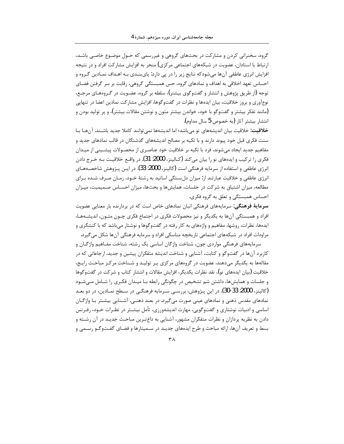گروه، سخنرانی کردن و مشارکت در بحثهای گروهی و غیررسمی که حـول موضـوع خاصـی باشـد، ارتباط با استادان، عضویت در شبکههای اجتماعی مرکزی) منجر به افزایش مشارکت افراد و در نتیجه افزایش انرژی عاطفی آنها می شودکه نتایج زیر را در پی دارد: پای بنـدی بـه اهـداف نمـادین گـروه و احساس تعهد اخلاقی به اهداف و نمادهای گروه، حس همبستگی گروهی، رقابت بر سر گرفتن فضـای توجه (از طریق پژوهش و انتشار و گفتوگوی بیشتر)، سلطه بر گروه، عضـویت در گـروههـای مرجـع، نوعآوري و بروز خلاقيت، بيان ايدهها و نظرات در گفتوگوها، افزايش مشاركت نمادين اعضا در تنهايي (مانند تفکر بیشتر و گفتوگو با خود، خواندن بیشتر متون و نوشتن مقالات بیشتر)، و پر تولید بودن و انتشار بيشتر آثار (به خصوص 5 سال مداوم).

خلاقیت: خلاقیت بیان اندیشههای نو میباشد؛ اما اندیشهها نمی توانند کاملا جدید باشـند. آنهـا بـا سنت فکری قبل خود پیوند دارند و با تکیه بر مصالح اندیشههای گذشتگان در قالب نمادهای جدید و مفاهیم جدید ایجاد می شوند. فرد با تکیه بر خلاقیت خود عناصـری از محصـولات پیشـینی از میـدان فکري را تر کيب و ايدههاي نو را بيان مي کند (کـالينز، 2000: 31). در واقــع خلاقيــت بــه خـرج دادن انرژی عاطفی و استفاده از سرمایه فرهنگی است (کالینز، 2000: 33). در ایــن پــژوهش شاخصــههــای انرژی عاطفی و خلاقیت عبارتند از: میزان دل بستگی اساتید به رشتهٔ خـود، زمـان صـرف شـده بـرای مطالعه، میزان اشتیاق به شرکت در جلسات، همایشها و بحثها، میزان احسـاس صـمیمیت، میـزان احساس همبستگی و تعلق به گروه فکری.

**سرمایهٔ فرهنگی**: سرمایههای فرهنگی انبان نمادهای خاص است که در بردارنده بار معنایی عضویت افراد و همبستگی آنها به یکدیگر و نیز محصولات فکری در اجتماع فکری چـون متـون، اندیشـههـا، ایدهها، نظرات، روشها، مفاهیم و واژههای به کار رفته در گفتوگوها و نوشتار می باشد که با کنشگری و مراودات افراد در شبکههای اجتماعی تاریخچه مناسکی افراد و سرمایه فرهنگی آنها شکل می گیرد.

سرمایههای فرهنگی مواردی چون، شناخت واژگان اساسی یک رشته، شناخت مفـاهیم واژگــان و کاربرد آنها در گفتوگو و کتابت، آشنایی و شناخت اندیشه متفکران پیشین و جدید، ارجاعاتی که در مقالهها به یکدیگر میدهند، عضویت در گروههای مرکزی پـر تولیـد و شـناخت مرکـز مباحـث رایـج، خلاقیت (بیان ایدههای نو)، نقد نظرات یکدیگر، افزایش مقالات و انتشار کتاب و شرکت در گفتوگوها و جلسات و همایشها، داشتن شم تشخیص در چگونگی رابطه بـا میـدان فکـری را شـامل مـیشـود (كالينز، 2000: 33-30). در اين پـژوهش، بررسـي سـرمايه فرهنگـي در سـطح نمــادين، در دو بعــد نمادهای مقدس ذهنی و نمادهای عینی صورت می گیرد. در بعـد ذهنـی. آشـنایی بیشـتر بـا واژگـان اساسی و ادبیات نوشتاری و گفتوگویی، مهارت اندیشهورزی، تأمل بیشــتر در نظـرات خــود، رفـرنس دادن به نظریه پردازان و نظرات متفکران مشهور، آشنایی به داغتـرین مباحـث جدیـد در آن رشـته و بسط و تعریف آنها، ارائه مباحث و طرح ایدههای جدیـد در سـمینارها و فضـای گفـتوگـو رسـمی و

 $\mathsf{r}\Lambda$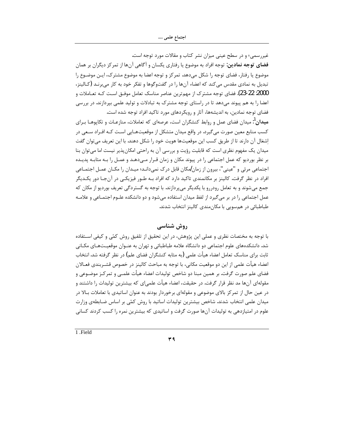غیررسمی؛ و در سطح عینی میزان نشر کتاب و مقالات مورد توجه است. **فضای توجه نمادین**: توجه افراد به موضوع یا رفتاری یکسان و آگاهی آنها از تمرکز دیگران بر همان موضوع یا رفتار، فضای توجه را شکل میدهد. تمرکز و توجه اعضا به موضوع مشترک، ایـن موضـوع را تبدیل به نمادی مقدس می کند که اعضاء آنها را در گفتوگوها و تفکر خود به کار میبرنـد (کـالينز، 2000: 22-23). فضاي توجه مشترک از مهمترين عناصر مناسک تعامل موفـق اسـت کـه تعــاملات و اعضا را به هم پیوند میدهد تا در راستای توجه مشترک به تبادلات و تولید علمی بیردازند. در بررسی فضای توجه نمادین، به اندیشهها، آثار و رویکردهای مورد تاکید افراد توجه شده است.

**میدان<sup>1</sup>:**میدان فضای عمل و روابط کنشگران است، عرصهای که تعاملات، منازعـات و تکاپوهــا بــرای کسب منابع معین صورت می گیرد. در واقع میدان متشکل از موقعیتهـایی اسـت کـه افـراد سـعی در اشغال آن دارند تا از طریق کسب این موقعیتها هویت خود را شکل دهند. با این تعریف می توان گفت میدان یک مفهوم نظری است که قابلیت رؤیت و بررسی آن به راحتی امکانپذیر نیست اما میتوان بنا بر نظر بوردیو که عمل اجتماعی را در پیوند مکان و زمان قـرار مـیدهـد و عمـل را بـه مثابـه پدیـده اجتماعی مرئی و "عینی"، بیرون از زمان/مکان قابل درک نمیدانـد؛ میـدان را مکــان عمـل اجتمــاعی افراد در نظر گرفت. کالینز بر مکانمندی تاکید دارد که افراد بـه طـور فیزیکـی در آنجـا دور یکـدیگر جمع میشوند و به تعامل رودررو با یکدیگر میپردازند. با توجه به گستردگی تعریف بوردیو از مکان که عمل اجتماعی را در بر می گیرد از لفظ میدان استفاده می شود و دو دانشکده علـوم اجتمـاعی و علامـه طباطبائی در همسویی با مکان مندی کالینز انتخاب شدند.

# روش شناسی

با توجه به مختصات نظری و عملی این پژوهش، در این تحقیق از تلفیق روش کمّی و کیفی اسـتفاده شد. دانشکدههای علوم اجتماعی دو دانشگاه علامه طباطبائی و تهران به عنـوان موقعیـتهـای مکـانی ثابت برای مناسک تعامل اعضاء هیأت علمی (به مثابه کنشگران فضای علم) در نظر گرفته شد.انتخاب اعضاء هيأت علمي از اين دو موقعيت مكاني، با توجه به مباحث كالينز در خصوص قشـربندي فعــالان فضای علم صورت گرفت. بر همین مبنا دو شاخص تولیدات اعضاء هیأت علمــی و تمرکــز موضــوعی و مقولهای آنها مد نظر قرار گرفت. در حقیقت، اعضاء هیأت علمی|ی که بیشترین تولیدات را داشتند و در عین حال از تمرکز بالای موضوعی و مقولهای برخوردار بودند به عنوان اساتیدی با تعاملات بـالا در میدان علمی انتخاب شدند. شاخص بیشترین تولیدات اساتید با روش کمّی بر اساس ضـابطهی وزارت علوم در امتیازدهی به تولیدات آنها صورت گرفت و اساتیدی که بیشترین نمره را کسب کردند کسانی

1 Field

٣٩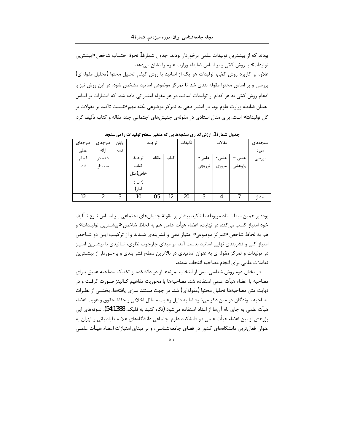بودند که از بیشترین تولیدات علمی برخوردار بودند. جدول شمارهٔ1 نحوهٔ احتساب شاخص «بیشترین تولیدات» با روش کمّی و بر اساس ضابطه وزارت علوم را نشان میدهد. علاوه بر کاربرد روش کمّی، تولیدات هر یک از اساتید با روش کیفی تحلیل محتوا (تحلیل مقولهای)

بررسی و بر اساس محتوا مقوله بندی شد تا تمرکز موضوعی اساتید مشخص شود. در این روش نیز با ادغام روش کمّی به هر کدام از تولیدات اساتید در هر مقوله امتیازاتی داده شد، که امتیازات بر اساس همان ضابطه وزارت علوم بود. در امتیاز دهی به تمرکز موضوعی نکته مهم «نسبت تاکید بر مقولات بر کل تولیدات» است، برای مثال استادی در مقولهی جنبشهای اجتماعی چند مقاله و کتاب تألیف کرد

| طرحهاى | طرحهای | پایان | ترجمه   |       |      | تألىفات | مقالات |       |        | سنجەھاي |
|--------|--------|-------|---------|-------|------|---------|--------|-------|--------|---------|
| عملى   | ارائه  | نامه  |         |       |      |         |        |       |        | مورد    |
| انجام  | شده در |       | ترجمهٔ  | مقاله | كتاب |         | علمى   | علمى  | علمى   | بررسى   |
| شده    | سمينار |       | كتاب    |       |      |         | ترويجي | مرورى | پژوهشی |         |
|        |        |       | خاص(مثل |       |      |         |        |       |        |         |
|        |        |       | زبان و  |       |      |         |        |       |        |         |
|        |        |       | آمار)   |       |      |         |        |       |        |         |
| 12     | 2      | 3     | 10      | 0.5   | 12   | 20      | 3      | 4     |        | امتياز  |

جدول شمارة 1. ارزش گذاری سنجههایی که متغیر سطح تولیدات را می سنجد

بود؛ بر همین مبنا استاد مربوطه با تاکید بیشتر بر مقولهٔ جنبشهای اجتماعی بـر اســاس نــوع تـألیف خود امتياز كسب مي كند. در نهايت، اعضاء هيأت علمي هم به لحاظ شاخص «بيشــترين توليــدات» و هم به لحاظ شاخص «تمركز موضوعي» امتياز دهي و قشربندي شـدند و از تركيـب ايـن دو شـاخص امتیاز کلی و قشربندی نهایی اساتید بدست آمد. بر مبنای چارچوب نظری، اساتیدی با بیشترین امتیاز در تولیدات و تمرکز مقولهای به عنوان اساتیدی در بالاترین سطح قشر بندی و برخـوردار از بیشــترین تعاملات علمی برای انجام مصاحبه انتخاب شدند.

در بخش دوم روش شناسی، پس از انتخاب نمونهها از دو دانشکده از تکنیک مصاحبه عمیق بـرای مصاحبه با اعضاء هيأت علمي استفاده شد. مصاحبهها با محوريت مفاهيم كـالينز صـورت گرفـت و در نهایت متن مصاحبهها تحلیل محتوا (مقولهای) شد. در جهت مستند سازی یافتهها، بخشـی از نظـرات مصاحبه شوندگان در متن ذکر می شود اما به دلیل رعایت مسائل اخلاقی و حفظ حقوق و هویت اعضاء هیأت علمی به جای نام آنها از اعداد استفاده میشود (نگاه کنید به فلیک، 54:1388). نمونههای این پژوهش از بین اعضاء هیأت علمی دو دانشکده علوم اجتماعی دانشگاههای علامه طباطبائی و تهران به عنوان فعالترین دانشگاههای کشور در فضای جامعهشناسی، و بر مبنای امتیازات اعضاء هیـأت علمـی

 $\epsilon$ .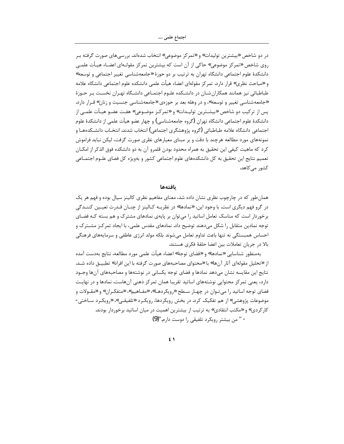اجتماع علمي ….

در دو شاخص «بیشترین تولیدات» و «تمرکز موضوعی» انتخاب شدهاند. بررسیهای صورت گرفته بـر روی شاخص «تمرکز موضوعی» حاکی از آن است که بیشترین تمرکز مقولـهای اعضـاء هیـأت علمـی دانشکدهٔ علوم اجتماعی دانشگاه تهران به ترتیب بر دو حوزهٔ «جامعهشناسی تغییر اجتماعی و توسعه» و «مباحث نظري» قرار دارد. تمركز مقولهاي اعضاء هيأت علمي دانشكده علوم اجتماعي دانشگاه علامه طباطبائی نیز همانند همکاران شـان در دانشـکده علـوم اجتمـاعی دانشـگاه تهـران نخسـت بـر حـوزهٔ «جامعه شناسی تغییر و توسعه»، و در وهله بعد بر حوزهی «جامعه شناسی جنسیت و زنان» قـرار دارد. پس از ترکیب دو شاخص «بیشـترین تولیـدات» و «تمرکـز موضـوعی» هفـت عضـو هیـأت علمـی از دانشکدهٔ علوم اجتماعی دانشگاه تهران (گروه جامعهشناسی) و چهار عضو هیأت علمی از دانشکدهٔ علوم اجتماعی دانشگاه علامه طباطبائی (گروه پژوهشگری اجتماعی) انتخاب شدند. انتخـاب دانشــکدههــا و نمونههای مورد مطالعه هرچند با دقت و بر مبنای معیارهای نظری صورت گرفت، لیکن نباید فراموش كرد كه ماهيت كيفي اين تحقيق به همراه محدود بودن قلمرو آن به دو دانشكده فوق الذكر از امكــان تعميم نتايج اين تحقيق به كل دانشكدههاي علوم اجتماعي كشور و بهويژه كل فضاي علـوم اجتمــاعي کشور مے کاهد.

#### بافتهها

همان طور که در چارچوب نظری نشان داده شد، معنای مفاهیم نظری کالینز سیال بوده و فهم هر یک در گرو فهم دیگری است. با وجود این، «نمادها» در نظریــه کــالینز از چنــان قــدرت تعیــین کننــدگی برخوردار است که مناسک تعامل اساتید را می توان بر پایهی نمادهای مشترک و هم بسته کـه فضـای توجه نمادین متقابل را شکل میدهند توضیح داد. نمادهای مقدس علمی، با ایجاد تمر کـز مشــتر ک و احساس همبستگی نه تنها باعث تداوم تعامل میشوند بلکه مولد انرژی عاطفی و سرمایههای فرهنگی بالا در جريان تعاملات بين اعضا حلقهٔ فكرى هستند.

بهمنظور شناسايي «نمادها» و «فضاي توجهٔ» اعضاء هيأت علمي مورد مطالعه، نتايج بهدست آمده از «تحلیل مقولهای آثار آنها» با «محتوای مصاحبههای صورت گرفته با این افراد» تطبیــق داده شــد. نتايج اين مقايسه نشان مىدهد نمادها و فضاى توجه يكسانى در نوشتهها و مصاحبههاى آنها وجـود دارد، یعنی تمرکز محتوایی نوشتههای اساتید تقریبا همان تمرکز ذهنی آنهاست. نمادها و در نهایـت فضای توجه اساتید را می تـوان در چهـار سـطح «رویکردهـا»، «مفـاهیم»، «متفکـران» و «مقـولات و موضوعات پژوهشی» از هم تفکیک کرد. در بخش رویکردها، رویکـرد «تلفیقـی»، «رویکـرد ســاختی -کار کردی» و «مکتب انتقادی» به ترتیب از بیشترین اهمیت در میان اساتید برخوردار بودند. - " من بيشتر رويكرد تلفيقي را دوست دارم."(9)

 $5 \lambda$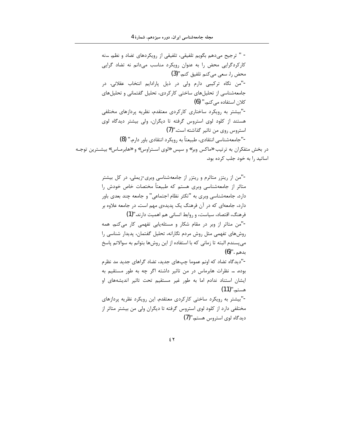- " ترجيح ميدهم بگويم تلفيقي، تلفيقي از رويكردهاي تضاد و نظم. …نه کارکردگرایی محض را به عنوان رویکرد مناسب میدانم نه تضاد گرایی محض را. سعی می کنم تلفیق کنم."(3) -"من نگاه ترکیبی دارم ولی در ذیل پارادایم انتخاب عقلانی. در جامعهشناسی از تحلیلهای ساختی کارکردی، تحلیل گفتمانی و تحلیلهای كلان استفاده مى كنم." (6) -"بیشتر به رویکرد ساختاری کارکردی معتقدم، نظریه پردازهای مختلفی هستند از کلود لوی استروس گرفته تا دیگران، ولی بیشتر دیدگاه لوی استروس روي من تاثير گذاشته است."(7) -"جامعهشناسي انتقادى، طبيعتاً به رويكرد انتقادى باور دارم." (8) در بخش متفکران به ترتیب «ماکس وبر» و سپس «لوی استراوس» و «هابرمـاس» بیشـترین توجـه

> اساتید را به خود جلب کرده بود. -"من از ریتزر متاثرم و ریتزر از جامعهشناسی وبری-زیملی. در کل بیشتر

متاثر از جامعهشناسی وبری هستم که طبیعتاً مختصات خاص خودش را دارد. جامعهشناسی وبری به "تکثر نظام اجتماعی" و جامعه چند بعدی باور دارد، جامعهای که در آن فرهنگ یک پدیدهی مهم است. در جامعه علاوه بر فرهنگ، اقتصاد، سیاست، و روابط انسانی هم اهمیت دارند."(1)

-"من متاثر از وبر در مقام شکار و مسئلهيابي تفهمي کار مي کنم. همه روشهای تفهمی مثل روش مردم نگارانه، تحلیل گفتمان، پدیدار شناسی را می پسندم البته تا زمانی که با استفاده از این روشها بتوانم به سوالاتم پاسخ بدهم .''(6)

-"دیدگاه تضاد که اونم عموما چپهای جدید، تضاد گراهای جدید مد نظرم بوده. … نظرات هابرماس در من تاثير داشته اگر چه به طور مستقيم به ایشان استناد ندادم اما به طور غیر مستقیم تحت تاثیر اندیشههای او هستم.''(11)

-"بیشتر به رویکرد ساختی کارکردی معتقدم. این رویکرد نظریه پردازهای مختلفی دارد از کلود لوی استروس گرفته تا دیگران ولی من بیشتر متاثر از  $(7)$ "دیدگاه لوی استروس هستم

 $\epsilon$   $\tau$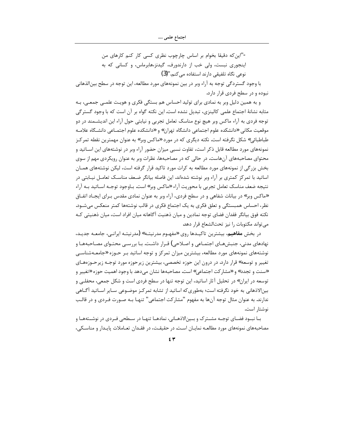-"این که دقیقا بخوام بر اساس چارچوب نظری کسی کار کنم کارهای من اینجوری نبست، ولی خب از دارندورف، گیدنز،هابرماس، و کسانی که به نوعی نگاه تلفیقی دارند استفاده می کنم."(3)

با وجود گستردگی توجه به آراء وبر در بین نمونههای مورد مطالعه، این توجه در سطح بین|لذهانی نبوده و در سطح فردی قرار دارد.

و به همین دلیل وبر به نمادی برای تولید احساس هم بستگی فکری و هویت علمـی جمعـی، بـه مثابه نشانهٔ اجتماع علمی کالینزی، تبدیل نشده است.این نکته گواه بر آن است که با وجود گسترگی توجه فردی به آراء ماکس وبر هیچ نوع مناسک تعامل تجربی و نیابتی حول آراء این اندیشـمند در دو موقعیت مکانی «دانشکده علوم اجتماعی دانشگاه تهران» و «دانشکده علوم اجتمــاعی دانشـگاه علامــه طباطبائی» شکل نگرفته است. نکته دیگری که در مورد «ماکس وبر» به عنوان مهمترین نقطه تمرکـز نمونههای مورد مطالعه قابل ذکر است، تفاوت نسبی میزان حضور آراء وبر در نوشتههای این اســاتید و محتوای مصاحبههای آنهاست. در حالی که در مصاحبهها، نظرات وبر به عنوان رویکردی مهم از سوی بخش بزرگی از نمونههای مورد مطالعه به کرات مورد تاکید قرار گرفته است، لیکن نوشتههای همـان اساتید با تمرکز کمتری بر آراء وبر نوشته شدهاند. این فاصله بیانگر ضـعف مناسـک تعامـل نیـابتی در نتيجه ضعف مناسك تعامل تجربي با محوريت آراء «ماكس وبر» است. بـاوجود توجـه اسـاتيد بـه آراء «ماکس وبر» در بیانات شفاهی و در سطح فردی، آراء وبر به عنوان نمادی مقدس بـرای ایجـاد اتفــاق نظر، احساس همبستگی و تعلق فکری به یک اجتماع فکری در قالب نوشتهها کمتر منعکس می شـود. نکته فوق بیانگر فقدان فضای توجه نمادین و میان ذهنیت آگاهانه میان افراد است، میان ذهنیتی کـه می تواند مکتوبات را نیز تحتالشعاع قرار دهد.

در بخش **مفاهیم**، بیشترین تاکیـدها روی «مفهـوم مدرنیتـه» (مدرنیتـه ایرانـی، جامعـه جدیـد، نهادهای مدنی، جنبشهـای اجتمـاعی و اصـلاحی) قـرار داشـت. بـا بررسـی محتـوای مصـاحبههـا و نوشتههای نمونههای مورد مطالعه، بیشترین میزان تمرکز و توجه اساتید بـر حـوزه «جامعـهشناســی تغییر و توسعه» قرار دارد. در درون این حوزه تخصصی، بیشترین زیرحوزه مورد توجـه زیرحـوزههـای «سنت و تجدد» و «مشاركت اجتماعي» است. مصاحبهها نشان مىدهد با وجود اهميت حوزه «تغيير و توسعه در ایران» در تحلیل آثار اساتید، این توجه تنها در سطح فردی است و شکل جمعی، محفلـی و بین|لاذهانی به خود نگرفته است؛ بهطوری که اساتید از تشابه تمر کـز موضـوعی سـایر اسـاتید آگــاهی ندارند. به عنوان مثال توجه آنها به مفهوم "مشاركت اجتماعي" تنهـا بـه صـورت فـردي و در قالـب نوشتار است.

بـا نبــود فضــاي توجــه مشــترک و بــین|لاذهــانی، نمادهــا تنهـا در ســطحی فــردی در نوشــتههـا و مصاحبههای نمونههای مورد مطالعـه نمایـان اسـت. در حقیقـت، در فقـدان تعـاملات پایـدار و مناسـكی،

 $24$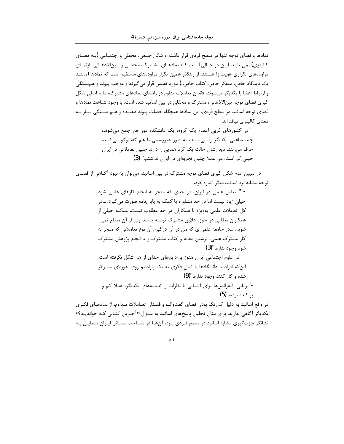نمادها و فضای توجه تنها در سطح فردی قرار داشته و شکل جمعی، محفلی و اجتمـاعی (بـه معنــای کالینزی) نمی یابند. ایـن در حـالی اسـت کـه نمادهـای مشـترک، محفلـی و بـین|لاذهـانی بازنمـای مراودههای تکراری هویت زا هستند. از رهگذر همین تکرار مراودههای مستقیم است که نمادها (ماننــد یک دیدگاه خاص، متفکر خاص، کتاب خاص..) مورد تقدس قرار می گیرند و موجب پیوند و هم بستگی و ارتباط اعضا با یکدیگر می شوند. فقدان تعاملات مداوم در راستای نمادهای مشترک، مانع اصلی شکل گیری فضای توجه بین|لاذهانی، مشترک و محفلی در بین اساتید شده است. با وجود شباهت نمادها و فضای توجه اساتید در سطح فردی، این نمادها هیچگاه خصلت پیوند دهنـده و هـم بسـتگی سـاز بـه معنای کالینزی نیافتهاند.

> -"در کشورهای غربی اعضاء یک گروه، یک دانشکده دور هم جمع میشوند، چند ساعتی یکدیگر را می بینند، به طور غیررسمی با هم گفتوگو می کنند، حرف می;نند. دیدارشان حالت یک گرد همایی را دارد. چنین تعاملاتی در ایران خيلي كم است. من عملا چنين تجربهاي در ايران نداشتم." (3)

در تبیین عدم شکل گیری فضای توجه مشترک در بین اساتید، میتوان به نبود آگـاهی از فضـای توجه مشابه نزد اساتيد ديگر اشاره كرد.

> - " تعامل علمی در ایران، در حدی که منجر به انجام کارهای علمی شود خیلی زیاد نیست اما در حد مشاوره یا کمک به پایاننامه صورت میگیرد. ...در کل تعاملات علمی بهویژه با همکاران در حد مطلوب نیست. ممکنه خیلی از همکاران مطلبی در حوزه علایق مشترک نوشته باشند ولی از آن مطلع نمی-شويم. ..در جامعه علمي اي كه من در آن درگيرم آن نوع تعاملاتي كه منجر به کار مشترک علمی، نوشتن مقاله و کتاب مشترک و یا انجام پژوهش مشترک شود وجود نداره."(3) - "در علوم اجتماعی ایران هنوز پارادایمهای جدای از هم شکل نگرفته است.

این که افراد یا دانشگاهها با تعلق فکری به یک پارادایم روی حوزهای متمرکز شده و کار کنند وجود نداره."(9) -"برپایی کنفرانسها برای آشنایی با نظرات و اندیشههای یکدیگر، عملا کم و

يراكنده بوده."(5)

در واقع اساتید به دلیل کم٫نگ بودن فضای گفتوگــو و فقــدان تعــاملات مــداوم، از نمادهــای فکــری یکدیگر آگاهی ندارند. برای مثال تحلیل پاسخهای اساتید به سـؤال «آخـرین کتـابی کـه خواندیـد؟» نشانگر جهت گیری مشابه اساتید در سطح فـردی بـود. آنهـا در شـناخت مسـائل ایـران متمایـل بـه

 $\epsilon$   $\epsilon$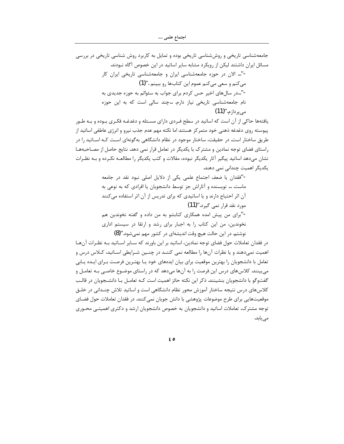جامعهشناسی تاریخی و روششناسی تاریخی بوده و تمایل به کاربرد روش شناسی تاریخی در بررسی مسائل ایران داشتند لیکن از رویکرد مشابه سایر اساتید در این خصوص آگاه نبودند. -"... الان در حوزه جامعهشناسی ایران و جامعهشناسی تاریخی ایران کار مي كنم و سعي مي كنم عموم اين كتاب ها رو ببينم ."(1) -"..در سالهای اخیر حس کردم برای جواب به سئوالم به حوزه جدیدی به نام جامعهشناسی تاریخی نیاز دارم. ...چند سالی است که به این حوزه مے پر داز م.'**' (11)** 

یافتهها حاکی از آن است که اساتید در سطح فـردی دارای مسـئله و دغدغـه فکـری بـوده و بـه طـور پیوسته روی دغدغه ذهنی خود متمرکز هستند اما نکته مهم عدم جذب نیرو و انرژی عاطفی اساتید از طریق ساختار است. در حقیقت، ساختار موجود در نظام دانشگاهی بهگونهای اسـت کـه اســاتید را در راستای فضای توجه نمادین و مشترک با یکدیگر در تعامل قرار نمی دهد. نتایج حاصل از مصاحبهها نشان میدهد اساتید پیگیر آثار یکدیگر نبوده، مقالات و کتب یکدیگر را مطالعـه نکـرده و بـه نظـرات یکدیگر اهمیت چندانی نمی دهند.

> -"فقدان يا ضعف اجتماع علمي يكي از دلايل اصلي نبود نقد در جامعه ماست. … نویسنده و آثاراش جز توسط دانشجویان یا افرادی که به نوعی به آن اثر احتیاج دارند و یا اساتیدی که برای تدریس از آن اثر استفاده میکنند مورد نقد قرار نمی گیرد."(11)

> -"برای من پیش امده همکاری کتابشو به من داده و گفته نخوندین هم نخوندین، من این کتاب را به اجبار برای رشد و ارتقا در سیستم اداری نوشتم. در این حالت هیچ وقت اندیشهای در کشور مهم نمیشود."(8)

در فقدان تعاملات حول فضاي توجه نمادين، اساتيد بر اين باورند كه سـاير اسـاتيد بـه نظـرات آنهـا اهمیت نمی،دهند و یا نظرات آنها را مطالعه نمی کننـد در چنـین شـرایطی اسـاتید، کـلاس درس و تعامل با دانشجویان را بهترین موقعیت برای بیان ایدههای خود یـا بهتـرین فرصـت بـرای ایـده یـابی می بینند. کلاسهای درس این فرصت را به آنها میدهد که در راستای موضـوع خاصـی بـه تعامـل و گفتوگو با دانشجویان بنشینند. ذکر این نکته حائز اهمیت است کـه تعامـل بـا دانشــجویان در قالـب کلاسهای درس نتیجه ساختار آموزش محور نظام دانشگاهی است و اساتید تلاش چنـدانی در خلـق موقعیتهایی برای طرح موضوعات پژوهشی با دانش جویان نمی کنند. در فقدان تعاملات حول فضـای توجه مشترک، تعاملات اساتید و دانشجویان به خصوص دانشجویان ارشد و دکتری اهمیتــی محــوری مى يابد.

 $65$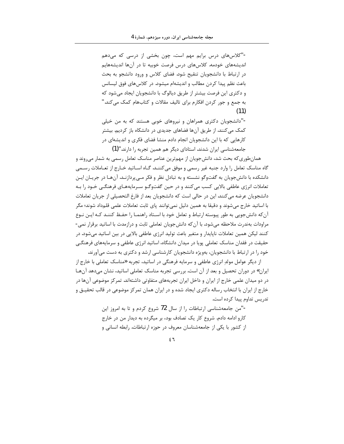-"کلاسهای درس برایم مهم است، چون بخشی از درسی که میدهم اندیشههای خودمه. کلاسهای درس فرصت خوبیه تا در آنها اندیشههایم در ارتباط با دانشجویان تنقیح شود. فضای کلاس و ورود دانشجو به بحث باعث نظم پیدا کردن مطالب و اندیشهام میشود. در کلاس های فوق لیسانس و دکتری این فرصت بیشتر از طریق دیالوگ با دانشجویان ایجاد میشود که به جمع و جور کردن افکارم برای تالیف مقالات و کتابهام کمک می کند."  $(11)$ 

-"دانشجویان دکتری همراهان و نیروهای خوبی هستند که به من خیلی کمک می کنند. از طریق آنها فضاهای جدیدی در دانشکاه باز کردیم. بیشتر کارهایی که با این دانشجویان انجام دادم منشا فضای فکری و اندیشهای در جامعهشناسی ایران شدند. استادای دیگر هم همین تجربه را دارند."(1)

همانطوری که بحث شد، دانش جویان از مهم ترین عناصر مناسک تعامل رسمی به شمار می روند و گاه مناسک تعامل را وارد جنبه غیر رسمی و موفق میکننـد. گـاه اسـاتید خـارج از تعـاملات رسـمی دانشکده با دانش جويان به گفتوگو نشسته و به تبادل نظر و فکر مـي پردازنـد. آنهـا در جريـان ايـن تعاملات انرژی عاطفی بالایی کسب میکنند و در حین گفتوگـو سـرمایههـای فرهنگـی خـود را بـه دانشجويان عرضه مي كنند. اين در حالي است كه دانشجويان بعد از فارغ التحصيلي از جريان تعاملات با اساتید خارج می،شوند و دقیقا به همین دلیل نمی،توانند پای ثابت تعاملات علمی قلمداد شوند؛ مگر آن كه دانش جويي به طور پيوسته ارتباط و تعامل خود با اسـتاد راهنمـا را حفـظ كننـد كـه ايـن نـوع مراودات بهندرت ملاحظه میشود. با آن که دانش جویان تعاملی ثابت و درازمدت با اساتید برقرار نمی-کنند لیکن همین تعاملات ناپایدار و متغیر باعث تولید انرژی عاطفی بالایی در بین اساتید میشود. در حقیقت در فقدان مناسک تعاملی یویا در میدان دانشگاه، اساتید انرژی عاطفی و سرمایههای فرهنگے خود را در ارتباط با دانشجویان، بهویژه دانشجویان کارشناسی ارشد و دکتری به دست میآورند.

از دیگر عوامل مولد انرژی عاطفی و سرمایه فرهنگی در اساتید، تجربه «مناسک تعاملی با خارج از ایران» در دوران تحصیل و بعد از آن است. بررسی تجربه مناسک تعاملی اساتید، نشان میدهد آنهـا در دو میدان علمی خارج از ایران و داخل ایران تجربههای متفاوتی داشتهاند. تمرکز موضوعی آنها در خارج از ایران با انتخاب رساله دکتری ایجاد شده و در ایران همان تمرکز موضوعی در قالب تحقیـق و تدريس تداوم پيدا كرده است.

> -"من جامعهشناسی ارتباطات را از سال 72 شروع کردم و تا به امروز این کارو ادامه دادم. شروع کار یک تصادف بود، بر میگرده به دیدار من در خارج از کشور با یکی از جامعهشناسان معروف در حوزه ارتباطات. رابطه انسانی و

> > $57$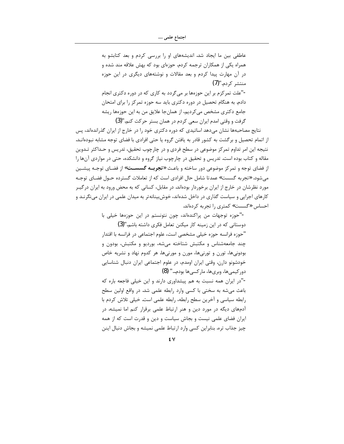عاطفی بین ما ایجاد شد. اندیشههای او را بررسی کردم و بعد کتابشو به همراه یکی از همکاران ترجمه کردم. حوزهای بود که بهش علاقه مند شده و در آن مهارت پیدا کردم و بعد مقالات و نوشتههای دیگری در این حوزه منتشر کردم."(7) -"علت تمرکزم بر این حوزهها بر میگردد به کاری که در دوره دکتری انجام دادم. به هنگام تحصیل در دوره دکتری باید سه حوزه تمرکز را برای امتحان جامع دکتری مشخص می کردیم، از همان جا علایق من به این حوزهها ریشه گرفت و وقتی امدم ایران سعی کردم در همان بستر حرکت کنم."(3)

نتایج مصاحبهها نشان میدهد اساتیدی که دوره دکتری خود را در خارج از ایران گذراندهاند، پس از اتمام تحصیل و برگشت به کشور قادر به یافتن گروه یا حتی افرادی با فضای توجه مشابه نبودهانـد. نتیجه این امر تداوم تمرکز موضوعی در سطح فردی و در چارچوب تحقیق، تدریس و حـداکثر تـدوین مقاله و کتاب بوده است. تدریس و تحقیق در چارچوب نیاز گروه و دانشکده، حتی در مواردی آنها را از فضای توجه و تمرکز موضوعی دور ساخته و باعث **«تجربــه گسســت»** از فضـای توجـه پیشـین می شود. «تجربه گسست» عمدتا شامل حال افرادی است که از تعاملات گسترده حــول فضــای توجــه مورد نظرشان در خارج از ایران برخوردار بودهاند. در مقابل، کسانی که به محض ورود به ایران در گیـر کارهای اجرایی و سیاست گذاری در داخل شدهاند، خوش بینانهتر به میدان علمی در ایران می نگرنـد و احساس «گسست» کمتری را تجربه کردهاند.

> -"حوزه توجهات من پراكندهاند، چون نتونستم در اين حوزهها خيلي با دوستانی که در این زمینه کار میکنن تعامل فکری داشته باشم."(3) "حوزه فرانسه حوزه خيلي مشخصي است، علوم اجتماعي در فرانسه با اقتدار چند جامعهشناس و مکتبش شتاخته می شه، بوردیو و مکتبش، بودون و بودونیها، تورن و تورنیها، مورن و مورنیها. هر کدوم نهاد و نشریه خاص خودشونو دارن. وقتی ایران اومدم، در علوم اجتماعی ایران دنبال شناسایی دور کیمے ها، وبریها، مار کسے ها بودم…" (8) -"در ایران همه نسبت به هم پیشداوری دارند و این خیلی فاجعه باره که

> باعث می شه به سختی با کسی وارد رابطه علمی شد. در واقع اولین سطح رابطه سیاسی و آخرین سطح رابطه، رابطه علمی است. خیلی تلاش کردم با آدمهای دیگه در مورد دین و هنر ارتباط علمی برقرار کنم اما نمیشه. در ایران فضای علمی نیست و بجاش سیاست و دین و قدرت است که از همه چیز جذاب تره. بنابراین کسی وارد ارتباط علمی نمیشه و بجاش دنبال اینن

> > ٤V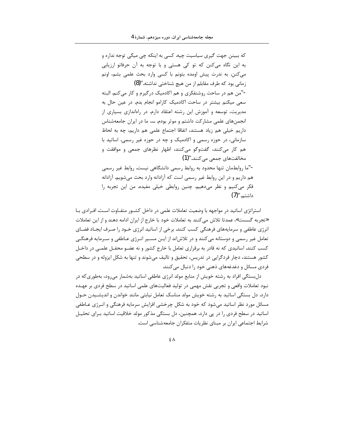که ببینن جهت گیری سیاسیت چیه. کسی به اینکه چی میگی توجه نداره و به این نگاه میکنن که تو کی هستی و با توجه به آن حرفاتو ارزیابی می کنن. به ندرت پیش اومده بتونم با کسی وارد بحث علمی بشم، اونم زمانی بود که طرف مقابلم از من هیچ شناختی نداشته."(8) -"من هم در ساحت روشنفکری و هم اکادمیک درگیرم و کار می کنم. البته سعی میکنم بیشتر در ساحت اکادمیک کارامو انجام بدم. در عین حال به مدیریت، توسعه و آموزش این رشته اعتقاد دارم. در راهاندازی بسیاری از انجمنهای علمی مشارکت داشتم و موثر بودم. ..... ما در ایران جامعهشناس داریم خیلی هم زیاد هستند، اتفاقا اجتماع علمی هم داریم، چه به لحاظ سازمانی، در حوزه رسمی و اکادمیک و چه در حوزه غیر رسمی. اساتید با هم کار میکنند، گفتوگو میکنند، اظهار نظرهای جمعی و موافقت و مخالفتهاي جمعي مي كنند."(1) -"ما روابطمان تنها محدود به روابط رسمی دانشگاهی نیست. روابط غیر رسمی هم داریم و در این روابط غیر رسمی است که آزادانه وارد بحث می شویم. آزادانه فکر میکنیم و نظر میدهیم. چنین روابطی خیلی مفیده. من این تجربه را داشتہ.''(7)

استراتژی اساتید در مواجهه با وضعیت تعاملات علمی در داخل کشــور متفــاوت اسـت. افــرادی بــا «تجربه گسست»، عمدتا تلاش می کنند به تعاملات خود با خارج از ایران ادامه دهند و از این تعاملات انرژی عاطفی و سرمایههای فرهنگی کسب کنند. برخی از اساتید انرژی خــود را صـرف ایجـاد فضـای تعامل غیر رسمی و دوستانه میکنند و در تلاش|ند از ایـن مسـیر انـرژی عـاطفی و سـرمایه فرهنگـی کسب کنند. اساتیدی که نه قادر به برقراری تعامل با خارج کشور و نه عضـو محفـل علمـی در داخـل کشور هستند، دچار فردگرایی در تدریس، تحقیق و تالیف میشوند و تنها به شکل ایزوله و در سطحی فردی مسائل و دغدغههای ذهنی خود را دنبال می کنند.

دلبستگی افراد به رشته خویش از منابع مولد انرژی عاطفی اساتید بهشمار می رود، بهطوری که در نبود تعاملات واقعی و تجربی نقش مهمی در تولید فعالیتهای علمی اساتید در سطح فردی بر عهـده دارد. دل بستگی اساتید به رشته خویش مولد مناسک تعامل نیابتی مانند خواندن و اندیشـیدن حـول مسائل مورد نظر اساتید میشود که خود به شکل چرخشی افزایش سرمایه فرهنگی و انـرژی عـاطفی اساتید در سطح فردی را در پی دارد. همچنین، دل بستگی مذکور مولد خلاقیت اساتید بـرای تحلیـل شرایط اجتماعی ایران بر مبنای نظریات متفکران جامعهشناسی است.

 $\epsilon \wedge$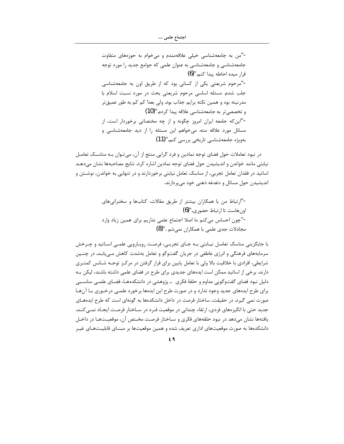-"من به جامعهشناسی خیلی علاقهمندم و میخوام به حوزههای متفاوت جامعهشناسی و جامعهشناسی به عنوان علمی که جوامع جدید را مورد توجه قرار میده احاطه پیدا کنم."(6) -"مرحوم شریعتی یکی از کسانی بود که از طریق اون به جامعهشناسی جلب شدم. مسئله اساسی مرحوم شریعتی بحث در مورد نسبت اسلام با مدرنیته بود و همین نکته برایم جذاب بود. ولی بعدا کم کم به طور عمیق تر و تخصصي تر به جامعهشناسي علاقه پيدا كردم."(10) -"این که جامعه ایران امروز چگونه و از چه مختصاتی برخوردار است، از مسائل مورد علاقه منه. میخواهم این مسئله را از دید جامعهشناسی و بەويژە جامعەشناسى تاريخى بررسى كنم."(11)

در نبود تعاملات حول فضای توجه نمادین و فرد گرایی منتج از آن، می تـوان بـه مناسـک تعامـل نیابتی مانند خواندن و اندیشیدن حول فضای توجه نمادین اشاره کرد. نتایج مصاحبهها نشان می دهـد اساتید در فقدان تعامل تجربی، از مناسک تعامل نیابتی برخوردارند و در تنهایی به خواندن، نوشـتن و اندیشیدن حول مسائل و دغدغه ذهنی خود می پردازند.

با جایگزینی مناسک تعامـل نیـابتی بـه جـای تجربـی، فرصـت رویـارویی علمـی اسـاتید و چـرخش سرمایههای فرهنگی و انرژی عاطفی در جریان گفتوگو و تعامل بهشدت کاهش مے پابـد. در چنــین شرایطی، افرادی با خلاقیت بالا ولی با تعامل پایین برای قرار گرفتن در مرکـز توجـه شـانس کمتـری دارند. برخی از اساتید ممکن است ایدههای جدیدی برای طرح در فضای علمی داشته باشند، لیکن بـه دلیل نبود فضای گفتوگویی مداوم و حلقهٔ فکری \_ پژوهشی در دانشکدههـا، فضـای علمـی مناسـبی برای طرح ایدههای جدید وجود ندارد و در صورت طرح این ایدهها برخورد علمـی درخـوری بـا آنهـا صورت نمی گیرد. در حقیقت، ساختار فرصت در داخل دانشکدهها به گونهای است که طرح ایدههـای جدید حتی با انگیزههای فردی، ارتقاء چندانی در موقعیت فـرد در ســاختار فرصـت ایجــاد نمــی کنــد. یافتهها نشان میدهد در نبود حلقههای فکری و سـاختار فرصـت مخـتص آن، موقعیـتهـا در داخـل دانشکدهها به صورت موقعیتهای اداری تعریف شده و همین موقعیتها بر مبنـای قابلیـتهـای غیـر

 $f$  ٩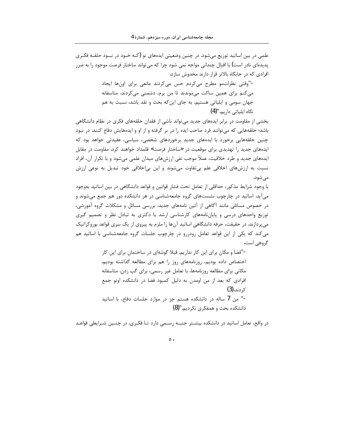علمی در بین اساتید توزیع میشود. در چنین وضعیتی ایدههای نو (کـه خـود در نبــود حلقــه فکـری پدیدهای نادر است) با اقبال چندانی مواجه نمی شود چرا که می¤واند ساختار فرصت موجود را به ضرر افرادی که در جایگاه بالاتر قرار دارند مخدوش سازد.

> -"وقتی نظراتمو مطرح میکردم حس میکردند مانعی برای اونها ایجاد می کنم برای همین ساکت میموندند تا من برم، دشمنی میکردند. متاسفانه جهان سومی و ایلیاتی هستیم. به جای این که بحث و نقد باشد، نسبت به هم نگاہ ایلیاتی داریم."(4)

بخشی از مقاومت در برابر ایدههای جدید می تواند ناشی از فقدان حلقههای فکری در نظام دانشگاهی باشد؛ حلقههایی که میتوانند فرد صاحب ایده را در بر گرفته و از او و ایدههایش دفاع کنند. در نبود چنین حلقههایی برخورد با ایدههای جدید برخوردهای شخصی، سیاسی، عقیدتی خواهد بود که ایدههای جدید را تهدیدی برای موقعیت در «ساختار فرصت» قلمداد خواهند کرد. مقاومت در مقابل ایدههای جدید و طرد خلاقیت، عملاً موجب نفی ارزشهای میدان علمی میشود و با تکرار آن، افراد نسبت به ارزشهای اخلاقی علم بی تفاوت می شوند و این بی اخلاقی خود تبدیل به نوعی ارزش مے شود.

با وجود شرایط مذکور، حداقلی از تعامل تحت فشار قوانین و قواعد دانشگاهی در بین اساتید بهوجود می آید. اساتید در چارچوب نشستهای گروه جامعهشناسی در هر دانشکده دور هم جمع می شوند و در خصوص مسائلی مانند آگاهی از آئین نامههای جدید، بررسی مسائل و مشکلات گروه آموزشی، توزیع واحدهای درسی و پایاننامههای کارشناسی ارشد یا دکتری به تبادل نظر و تصمیم گیری میپردازند. در حقیقت، حرفه دانشگاهی اساتید آنها را ملزم به پیروی از یک سری قواعد بوروکراتیک می کند که یکی از این قواعد تعامل رودررو در چارچوب جلسات گروه جامعهشناسی با اساتید هم گروهی است.

> -"فضا و مکان برای این کار نداریم. قبلا گوشهای در ساختمان برای این کار اختصاص داده بوديم، روزنامههاي روز را هم براي مطالعه گذاشته بوديم. مکانی برای مطالعه روزنامهها، با تعامل غیر رسمی، برای گپ زدن. متاسفانه افرادی که بعد از من اومدن به دلیل کمبود فضا در دانشکده اونو جمع کر دند.(3) -" من 7 ساله در دانشكده هستم جز در موارد جلسات دفاع، با اساتيد دانشکده بحث و همفکری نکردیم."(8)

در واقع، تعامل اساتید در دانشکده بیشـتر جنبـه رسـمی دارد تـا فکـری. در چنـین شـرایطی قواعـد

 $\circ$ .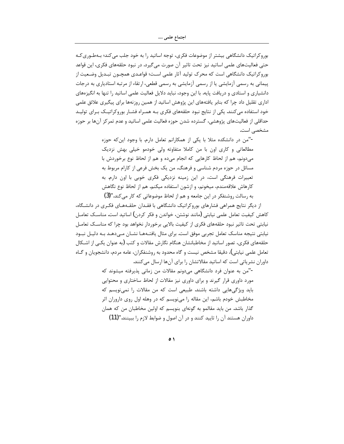بوروکراتیک دانشگاهی بیشتر از موضوعات فکری، توجه اساتید را به خود جلب می کند؛ بـهطـوری کـه حتی فعالیتهای علمی اساتید نیز تحت تاثیر آن صورت می گیرد. در نبود حلقههای فکری، این قواعد بوروكراتيك دانشگاهي است كه محرك توليد آثار علمي است؛ قواعـدي همچــون تبــديل وضــعيت از یپمانی به رسمی آزمایشی یا از رسمی آزمایشی به رسمی قطعی، ارتقاء از مرتبه استادیاری به درجات دانشیاری و استادی و دریافت پایه. با این وجود، نباید دلایل فعالیت علمی اساتید را تنها به انگیزههای اداری تقلیل داد چرا که بنابر یافتههای این پژوهش اساتید از همین روزنهها برای پیگیری علائق علمی خود استفاده می کنند. یکی از نتایج نبود حلقههای فکری بـه همـراه فشـار بوروکراتیــک بـرای تولیــد حداقلی از فعالیتهای پژوهشی، گسترده شدن حوزه فعالیت علمی اساتید و عدم تمر کز آنها بر حوزه مشخصی است.

> -"من در دانشکده مثلا با یکی از همکارانم تعامل دارم. با وجود این که حوزه مطالعاتی و کاری اون با من کاملا متفاوته ولی خودمو خیلی بهش نزدیک میدونم، هم از لحاظ کارهایی که انجام میده و هم از لحاظ نوع برخوردش با مسائل در حوزه مردم شناسی و فرهنگ. من یک بخش فرعی از کارام مربوط به تعییرات فرهنگی است، در این زمینه نزدیکی فکری خوبی با اون دارم. به كارهاش علاقهمندم، ميخونم، و ازشون استفاده ميكنم. هم از لحاظ نوع نگاهش به رسالت روشنفکر در این جامعه و هم از لحاظ موضوعاتی که کار میکند."(3)

از دیگر نتایج همراهی فشارهای بوروکراتیک دانشگاهی با فقـدان حلقـههـای فکـری در دانشـگاه، کاهش کیفیت تعامل علمی نیابتی (مانند نوشتن، خواندن و فکر کردن) اساتید است. مناسـک تعامـل نیابتی تحت تاثیر نبود حلقههای فکری از کیفیت بالایی برخوردار نخواهد بود چرا که مناسـک تعامـل نیابتی نتیجه مناسک تعامل تجربی موفق است. برای مثال یافتـههـا نشـان مـیدهـد بـه دلیـل نبـود حلقههای فکری، تصور اساتید از مخاطبانشان هنگام نگارش مقالات و کتب (به عنوان یکـی از اشــکال تعامل علمي نيابتي)، دقيقا مشخص نيست و گاه محدود به روشنفكران، عامه مردم، دانشجويان و گــاه داوران نشریاتی است که اساتید مقالاتشان را برای آنها ارسال میکنند.

> -"من به عنوان فرد دانشگاهی میدونم مقالات من زمانی پذیرفته میشوند که مورد داوری قرار گیرند و برای داوری نیز مقالات از لحاظ ساختاری و محتوایی باید ویژگیهایی داشته باشند. طبیعی است که من مقالات را نمینویسم که مخاطبش خودم باشم، این مقاله را مینویسم که در وهله اول روی داروران اثر گذار باشد. من باید مقالمو به گونهای بنویسم که اولین مخاطبان من که همان داوران هستند آن را تاييد كنند و در آن اصول و ضوابط لازم را ببينند."(11)

> > $\circ$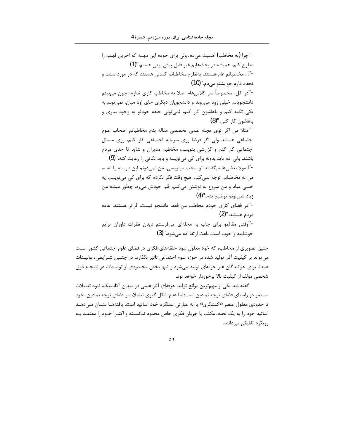-"چرا (به مخاطب) اهمیت میدم، ولی برای خودم این مهمه که اخرین فهمم را مطرح کنم، همیشه در بحثهایم غیر قابل پیش بینی هستم."(1) -"... مخاطبانم عام هستند. بهنظرم مخاطبانم كساني هستند كه در مورد سنت و تجدد دارم جوابشنو می دم."(10) -"در كل، مخصوصاً سر كلاسهام اصلا به مخاطب كارى ندارم؛ چون مى بينم دانشجویانم خیلی زود می روند و دانشجویان دیگری جای اونا میان. نمی تونم به یکی تکیه کنم و باهاشون کار کنم. نمی تونی حلقه خودتو به وجود بیاری و باهاشون کار کنی."(8) -"مثلا من اگر توى مجله علمى تخصصى مقاله بدم مخاطبانم اصحاب علوم اجتماعی هستند ولی اگر فرضا روی سرمایه اجتماعی کار کنم، روی مسائل اجتماعی کار کنم و گزارشی بنویسم، مخاطبم مدیران و شاید تا حدی مردم باشند. ولی ادم باید بدونه برای کی می;نویسه و باید نکاتی را رعایت کنه."(9) -"اصولا بعضيها ميگفتند تو سخت مينويسي، من نمي دونم اين درسته يا نه. … من به مخاطبانم توجه نمی کنم. هیچ وقت فکر نکردم که برای کی می نویسم. یه حسی میاد و من شروع به نوشتن میکنم، قلم خودش میره، چطور میشه من زياد نمي تونم توضيح بدم."(4) -"در فضای کاری خودم مخاطب من فقط دانشجو نیست، فراتر هستند، عامه مردم هستند."(2) -"وقتی مقالمو برای چاپ به مجلهای میفرستم دیدن نظرات داوران برایم خوشایند و خوب است. باعث ارتقا ادم می شود."(3)

چنین تصویری از مخاطب، که خود معلول نبود حلقههای فکری در فضای علوم اجتماعی کشور است می تواند بر کیفیت آثار تولید شده در حوزه علوم اجتماعی تاثیر بگذارد. در چنـین شـرایطی، تولیـدات عمدتاً برای خوانندگان غیر حرفهای تولید می شود و تنها بخش محـدودی از تولیـدات در نتیجـه ذوق شخصی مولف از کیفیت بالا برخوردار خواهد بود.

گفته شد یکی از مهمترین موانع تولید حرفهای آثار علمی در میدان آکادمیک، نبود تعاملات مستمر در راستای فضای توجه نمادین است؛ اما عدم شکل گیری تعاملات و فضای توجه نمادین، خود تا حدودی معلول عنصر «کنشگری» یا به عبارتی عملکرد خود اساتید است. یافتههـا نشـان مـیدهـد اساتید خود را به یک نحله، مکتب یا جریان فکری خاص محدود ندانسـته و اکثـرا خـود را معتقـد بـه رویکرد تلفیقی میدانند.

 $\circ$   $\mathsf{r}$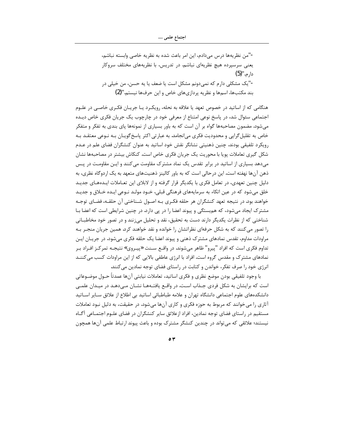-"من نظريهها درس مىدادم، اين امر باعث شده به نظريه خاصى وابسته نباشم، یعنی سرسپرده هیچ نظریهای نباشم. در تدریس، با نظریههای مختلف سروکار دار م.''(5) -"یک مشکلی دارم که نمی دونم مشکل است یا ضعف یا یه حسن، من خیلی در بند مکتبها، اسمها و نظریه پردازیهای خاص و این حرفها نیستم."(2)

هنگامی که از اساتید در خصوص تعهد یا علاقه به نحله، رویکـرد یـا جریـان فکـری خاصـی در علـوم اجتماعی سئوال شد، در پاسخ نوعی امتناع از معرفی خود در چارچوب یک جریان فکری خاص دیـده میشود. مضمون مصاحبهها گواه بر آن است که به باور بسیاری از نمونهها پای بندی به تفکر و متفکر خاص به تقلیل گرایی و محدودیت فکری می|نجامد. به عبارتی اکثر پاسخ گویـان بـه نـوعی معتقـد بـه رویکرد تلفیقی بودند. چنین ذهنیتی نشانگر نقش خود اساتید به عنوان کنشگران فضای علم در عـدم شکل گیری تعاملات پویا با محوریت یک جریان فکری خاص است. کنکاش بیشتر در مصاحبهها نشان می دهد بسیاری از اساتید در برابر تقدس یک نماد مشترک مقاومت می کنند و ایـن مقاومـت در پـس ذهن آنها نهفته است. این درحالی است که به باور کالینز ذهنیتهای متعهد به یک اردوگاه نظری، به دلیل چنین تعهدی، در تعامل فکری با یکدیگر قرار گرفته و از لابلای این تعـاملات ایـدههـای جدیـد خلق میشود که در عین اتکاء به سرمایههای فرهنگی قبلی، خـود مولـد نـوعی ایـده خـلاق و جدیـد خواهند بود. در نتیجه تعهد کنشگران هر حلقه فکـری بـه اصـول شـناختی آن حلقـه، فضـای توجـه مشترک ایجاد میشود، که هم بستگی و پیوند اعضا را در پی دارد. در چنین شرایطی است که اعضا بـا شناختی که از نظرات یکدیگر دارند دست به تحقیق، نقد و تحلیل می;نند و در تصور خود مخاطبـانی را تصور می کنند که به شکل حرفهای نظراتشان را خوانده و نقد خواهند کرد. همین جریان منجـر بـه مراودات مداوم، تقدس نمادهای مشترک ذهنی و پیوند اعضا یک حلقه فکری میشود. در جریــان ایــن تداوم فکری است که افراد "پیرو" ظاهر می شوند. در واقــع ســنت «پیــروی» نتیجـه تمر کــز افــراد بــر نمادهای مشترک و مقدس گروه است. افراد با انرژی عاطفی بالایی که از این مراودات کسب می کننـد انرژی خود را صرف تفکر، خواندن و کتابت در راستای فضای توجه نمادین می کنند.

با وجود تلفيقي بودن موضع نظري و فكرى اساتيد، تعاملات نيابتي آنها عمدتاً حــول موضــوعاتي است که برایشان به شکل فردی جـذاب اسـت. در واقــع یافتــههـا نشــان مــی‹دهــد در میــدان علمــی دانشکدههای علوم اجتماعی دانشگاه تهران و علامه طباطبائی اساتید بی اطلاع از علائق سـایر اســاتید آثاری را میخوانند که مربوط به حوزه فکری و کاری آنها میشود. در حقیقت، به دلیل نبود تعاملات مستقیم در راستای فضای توجه نمادین، افراد ازعلائق سایر کنشگران در فضای علـوم اجتمـاعی آگــاه نیستند؛ علائقی که میتواند در چندین کنشگر مشترک بوده و باعث پیوند ارتباط علمی آنها همچون

 $\circ$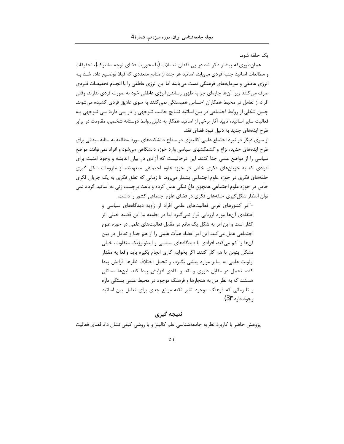یک حلقه شود.

همانطوريكه پيشتر ذكر شد در پي فقدان تعاملات (با محوريت فضاي توجه مشترك)، تحقيقات و مطالعات اساتید جنبه فردی می یابد. اساتید هر چند از منابع متعددی که قبلا توضیح داده شـد بـه انرژی عاطفی و سرمایههای فرهنگی دست می بابند اما این انرژی عاطفی را با انجــام تحقیقـات فـردی صرف می کنند زیرا آنها چارهای جز به ظهور رساندن انرژی عاطفی خود به صورت فردی ندارند. وقتی افراد از تعامل در محیط همکاران احساس همبستگی نمی کنند به سوی علایق فردی کشیده می شوند. چنین شکلی از روابط اجتماعی در بین اساتید نتـایج جالـب تـوجهی را در پـی دارد: بـی تـوجهی بـه فعالیت سایر اساتید، تایید آثار برخی از اساتید همکار به دلیل روابط دوستانه شخصی، مقاومت در برابر طرح ایدههای جدید به دلیل نبود فضای نقد.

از سوی دیگر در نبود اجتماع علمی کالینزی در سطح دانشکدههای مورد مطالعه به مثابه میدانی برای طرح ایدههای جدید، نزاع و کشمکشهای سیاسی وارد حوزه دانشگاهی میشود و افراد نمی توانند مواضع سیاسی را از مواضع علمی جدا کنند. این درحالیست که آزادی در بیان اندیشه و وجود امنیت برای افرادی که به جریانهای فکری خاص در حوزه علوم اجتماعی متعهدند، از ملزومات شکل گیری حلقههای فکری در حوزه علوم اجتماعی بشمار میرود. تا زمانی که تعلق فکری به یک جریان فکری خاص در حوزه علوم اجتماعی همچون داغ ننگی عمل کرده و باعث برچسب زنی به اساتید گردد نمی توان انتظار شکل گیری حلقههای فکری در فضای علوم اجتماعی کشور را داشت.

> -"در کشورهای غربی فعالیتهای علمی افراد از زاویه دیدگاههای سیاسی و اعتقادی آنها مورد ارزیابی قرار نمی¢یرد اما در جامعه ما این قضیه خیلی اثر گذار است و این امر به شکل یک مانع در مقابل فعالیتهای علمی در حوزه علوم اجتماعی عمل میکند. این امر اعضاء هیأت علمی را از هم جدا و تعامل در بین آنها را کم میکند. افرادی با دیدگاههای سیاسی و ایدئولوژیک متفاوت، خیلی مشکل بتونن با هم کار کنند. اگر بخوایم کاری انجام بگیره باید واقعا یه مقدار اولویت علمی به سایر موارد پیشی بگیرد، و تحمل اختلاف نظرها افزایش پیدا کند، تحمل در مقابل داوری و نقد و نقادی افزایش پیدا کند. اینها مسائلی هستند که به نظر من به هنجارها و فرهنگ موجود در محیط علمی بستگی داره و تا زمانی که فرهنگ موجود تغیر نکنه موانع جدی برای تعامل بین اساتید وجود داره.''(3)

# نتيجه گيري

پژوهش حاضر با کاربرد نظریه جامعهشناسی علم کالینز و با روشی کیفی نشان داد فضای فعالیت

 $\circ$  {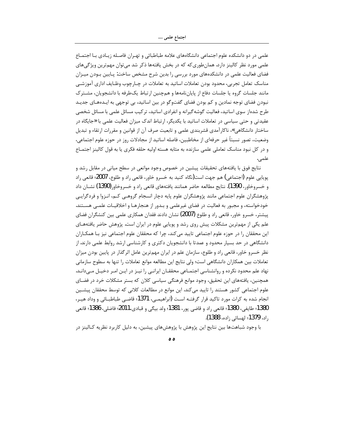اجتماع علمي ….

علمی در دو دانشکده علوم اجتماعی دانشگاههای علامه طباطبائی و تهـران فاصـله زیـادی بـا اجتمـاع علمی مورد نظر کالینز دارد. همانطوری که که در بخش یافتهها ذکر شد می توان مهم ترین ویژگیهای فضای فعالیت علمی در دانشکدههای مورد بررسی را بدین شرح مشخص ساخت: پـایین بـودن میـزان مناسک تعامل تجربی، محدود بودن تعاملات اساتید به تعاملات در چــارچوب وظــایف اداری آموزشــی مانند جلسات گروه یا جلسات دفاع از پایاننامهها و همچنین ارتباط یکطرفه با دانشجویان، مشـترک نبودن فضای توجه نمادین و کم بودن فضای گفتوگو در بین اساتید، بی توجهی به ایـدههـای جدیـد طرح شدهاز سوی اساتید، فعالیت گوشه گیرانه و انفرادی اساتید، تر کیب مسائل علمی با مسائل شخصی عقیدتی و حتی سیاسی در تعاملات اساتید با یکدیگر، ارتباط اندک میزان فعالیت علمی با «جایگاه در ساختار دانشگاهی»، ناکارآمدی قشربندی علمی و تابعیت صرف آن از قوانین و مقررات ارتقاء و تبدیل وضعيت، تصور نسبتاً غير حرفهاي از مخاطبين، فاصله اساتيد از مجادلات روز در حوزه علوم اجتماعي، و در كل نبود مناسك تعاملي علمي سازنده به مثابه هسته اوليه حلقه فكرى يا به قول كالينز اجتماع علمى.

نتايج فوق با يافتههاي تحقيقات پيشين در خصوص وجود موانعي در سطح مياني در مقابل رشد و يوپايي علوم (اجتماعي) هم جهت است(نگاه کنيد به خسرو خاور، قانعي راد و طلوع، 2007؛ قانعي راد و خسروخاور، 1390). نتايج مطالعه حاضر همانند يافتههاي قانعي راد و خسروخاور (1390) نشــان داد پژوهشگران علوم اجتماعی مانند پژوهشگران علوم پایه دچار انسجام گروهـی کـم، انـزوا و فردگرایـی خودخواسته، و مجبور به فعالیت در فضای غیرعلمی و بـدور از هنجارهـا و اخلاقیـات علمـی هسـتند. پیشتر، خسرو خاور، قانعی راد و طلوع (2007) نشان دادند فقدان همکاری علمی بین کنشگران فضای علم یکی از مهمترین مشکلات پیش روی رشد و پویایی علوم در ایران است. پژوهش حاضر یافتههـای این محققان را در حوزه علوم اجتماعی تایید میکند، چرا که محققان علوم اجتماعی نیز بـا همکـاران دانشگاهی در حد بسیار محدود و عمدتا با دانشجویان دکتری و کارشناسی ارشد روابط علمی دارند. از نظر خسرو خاور، قانعی راد و طلوع، سازمان علم در ایران مهمترین عامل اثر گذار در پایین بودن میزان تعاملات بين همكاران دانشگاهي است؛ ولي نتايج اين مطالعه موانع تعاملات را تنها به سطوح سازماني نهاد علم محدود نکرده و روانشناسی اجتمـاعی محققـان ایرانـی را نیـز در ایـن امـر دخیـل مـیدانـد. همچنین، یافتههای این تحقیق، وجود موانع فرهنگی سیاسی کلان که بستر مشکلات خرد در فضـای علوم اجتماعی کشور هستند را تایید می کند. این موانع در مطالعات کلانی که توسط محققان پیشـین انجام شده به کرات مورد تاکید قرار گرفتـه اسـت (ابراهیمـی، 1371؛ قاضـی طباطبــائی و وداد هیـر، 1380؛ طايفي، 1380؛ قانعي راد و قاضي يور، 1381؛ ولد بيگي و قبادي،2011؛ فاضلي، 1386؛ قانعي راد**، 1379؛** لهسائی زاده**، 1388)**.

با وجود شباهتها بین نتایج این پژوهش با پژوهشهای پیشین، به دلیل کاربرد نظریه کـالینز در

ه ه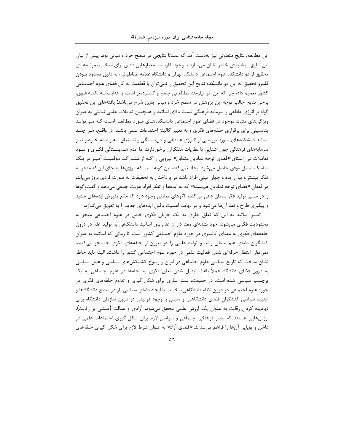این مطالعه، نتایج متفاوتی نیز بهدست آمد که عمدتا نتایجی در سطح خرد و میانی بود. پیش از بیان این نتایج، پیشاپیش خاطر نشان می،سازد با وجود کاربست معیارهایی دقیق برای انتخاب نمونـههـای تحقیق از دو دانشکده علوم اجتماعی دانشگاه تهران و دانشگاه علامه طباطبائی، به دلیل محدود بـودن قلمرو تحقیق به این دو دانشکده نتایج این تحقیق را نمی توان با قطعیت به کل فضای علوم اجتمــاعی کشور تعمیم داد، چرا که این امر نیازمند مطالعاتی جامع و گستردهتر است. با عنایت بـه نکتـه فـوق، برخی نتایج جالب توجه این پژوهش در سطح خرد و میانی بدین شرح میباشد: یافتههای این تحقیق گواه بر انرژی عاطفی و سرمایه فرهنگی نسبتا بالای اساتید و همچنین تعاملات علمی نیابتی به عنوان ویژگیهای مثبت موجود در فضای علوم اجتماعی دانشـکدههـای مـورد مطالعـه اسـت کـه مـیتوانـد پتانسیلی برای برقراری حلقههای فکری و به تعبیر کالینز اجتماعات علمی باشـد. در واقـع، هـر چنـد اساتید دانشکدههای مـورد بررسـی از انـرژی عـاطفی و دل بسـتگی و اشـتیاق بـه رشـته خـود و نیـز سرمایههای فرهنگی چون اشنایی با نظریات متفکران برخوردارند اما عدم هــم.ســتگی فکـری و نبــود تعاملات در راستای «فضای توجه نمادین متقابل» نیرویی را کـه از مشـارکت موفقیـت آمیـز در یـک مناسک تعامل موفق حاصل می شود ایجاد نمی کند. این گونه است که انرژیها به جای این که منجر به تفکر بیشتر و بیان ایده و جهان بینی افراد باشد در پرداختن به تحقیقات به صورت فردی بروز می یابد. در فقدان «فضاي توجه نمادين هم؛بسته» كه به ايدهها و تفكر افراد هويت جمعي ميدهد و گفتوگوها را در مسیر تولید فکر سامان دهی می کند، الگوهای تعاملی وجود دارد که مانع پذیرش ایدههای جدید و پیگیری طرح و نقد آنها می شود و در نهایت اهمیت یافتن ایدههای جدید را به تعویق می|ندازد.

تعبیر اساتید به این که تعلق نظری به یک جریان فکری خاص در علوم اجتماعی منجر به محدودیت فکری میشود، خود نشانهای معنا دار از عدم باور اساتید دانشگاهی به تولید علم در درون حلقههای فکری به معنای کالینزی در حوزه علوم اجتماعی کشور است. تا زمانی که اساتید به عنوان کنشگران فضای علم منطق رشد و تولید علمی را در بیرون از حلقههای فکری جستجو میکنند، نمي توان انتظار حرفهاي شدن فعاليت علمي در حوزه علوم اجتماعي كشور را داشت. البته بايد خاطر نشان ساخت که تاریخ سیاسی علوم اجتماعی در ایران و رسوخ کشمکشهای سیاسی و عمل سیاسی به درون فضای دانشگاه عملاً باعث تبدیل شدن تعلق فکری به نحلهها در علوم اجتماعی به یک برچسب سیاسی شده است. در حقیفت، بستر سازی برای شکل گیری و تداوم حلقههای فکری در حوزه علوم اجتماعی در درون نظام دانشگاهی، نخست با ایجاد فضای سیاسی باز در سطح دانشگاهها و امنیت سیاسی کنشگران فضای دانشگاهی، و سپس با وجود قوانینی در درون سازمان دانشگاه برای نهادینه کردن رقابت به عنوان یک ارزش علمی محقق میشود. آزادی و عدالت (مبتنی بر رقابت)، ارزشهایی هستند که بستر فرهنگی اجتماعی و سیاسی لازم برای شکل گیری اجتماعات علمی در داخل و پویایی آنها را فراهم میسازند. «فضای آزاد» به عنوان شرط لازم برای شکل گیری حلقههای

 $\circ$  7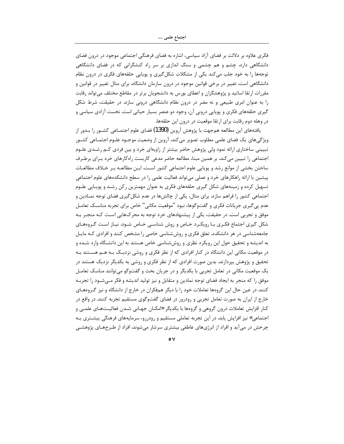#### اجتماع علمي ….

فکری علاوه بر دلالت بر فضای آزاد سیاسی، اشاره به فضای فرهنگی اجتماعی موجود در درون فضای دانشگاهی دارد. چشم و هم چشمی و سنگ اندازی بر سر راه کنشگرانی که در فضای دانشگاهی توجهها را به خود جلب می کند یکی از مشکلات شکل گیری و پویایی حلقههای فکری در درون نظام دانشگاهی است. تغییر در برخی قوانین موجود در درون سازمان دانشگاه، برای مثال تغییر در قوانین و مقررات ارتقا اساتید و پژوهشگران و اعطای بورس به دانشجویان برتر در مقاطع مختلف میتواند رقابت را به عنوان امری طبیعی و نه مضر در درون نظام دانشگاهی درونی سازد. در حقیقت، شرط شکل گیری حلقههای فکری و پویایی درونی آن، وجود دو عنصر بسیار حیاتی است. نخست آزادی سیاسی و در وهله دوم رقابت برای ارتقا موقعیت در درون این حلقهها.

یافتههای این مطالعه همجهت با پژوهش آروین **(1390)** فضای علوم اجتمــاعی کشــور را بــدور از ویژگی های یک فضای علمی مطلوب تصویر می کند. آروین از وضعیت موجـود علـوم اجتمـاعی کشـور تبیینی ساختاری ارائه نمود ولی پژوهش حاضر بیشتر از زاویهای خرد و بین فردی کـم رشـدی علـوم اجتماعی را تبیین می کند. بر همین مبنا، مطالعه حاضر مدعی کاربست راه کارهای خرد بـرای برطـرف ساختن بخشی از موانع رشد و پویایی علوم اجتماعی کشور است. ایـن مطالعـه بـر خـلاف مطالعـات پیشین با ارائه راهکارهای خرد و عملی می تواند فعالیت علمی را در سطح دانشکدههای علوم اجتماعی تسهیل کرده و زمینههای شکل گیری حلقههای فکری به عنوان مهمترین رکن رشـد و پویـایی علـوم اجتماعی کشور را فراهم سازد. برای مثال، یکی از چالشها در عدم شکل گیری فضای توجه نمـادین و عدم پی گیری جریانات فکری و گفتوگوها، نبود "موقعیت مکانی" خاص برای تجربه مناســک تعامــل موفق و تجربی است. در حقیقت، یکی از پیشنهادهای خرد توجه به محرکهایی است کـه منجـر بـه شکل گیری اجتماع فکـری بـا رویکـرد خـاص و روش شناسـی خـاص شـود. نیـاز اسـت گـروههـای جامعهشناسی در هر دانشکده، تعلق فکری و روششناسی خاصی را مشخص کنند و افرادی کـه مایـل به اندیشه و تحقیق حول این رویکرد نظری و روششناسی خاص هستند به این دانشـگاه وارد شـده و در موقعیت مکانی این دانشگاه در کنار افرادی که از نظر فکری و روشی نزدیـک بـه هــم هســتند بـه تحقیق و پژوهش بپردازند. بدین صورت افرادی که از نظر فکری و روشی یه یکدیگر نزدیک هستند در یک موقعیت مکانی در تعامل تجربی با یکدیگر و در جریان بحث و گفتوگو میتوانند مناسک تعامـل موفق را که منجر به ایجاد فضای توجه نمادین و متقابل و نیز تولید اندیشه و فکر مـیشـود را تجربـه کنند. در عین حال این گروهها تعاملات خود را با دیگر همفکران در خارج از دانشگاه و نیز گروههای خارج از ایران به صورت تعامل تجربی و رودرور در فضای گفتوگوی مستقیم تجربه کنند. در واقع در کنار افزایش تعاملات درون گروهی و گروهها با یکدیگر «امکـان جهـانی شـدن فعالیــتـهـای علمــی و اجتماعی» نیز افزایش یابد. در این تجربه تعاملی مستقیم و رودررو، سرمایههای فرهنگی بیشـتری بـه چرخش در می آید و افراد از انرژیهای عاطفی بیشتری سرشار میشوند. افراد از طـرحهـای پژوهشـی

 $\circ$   $\vee$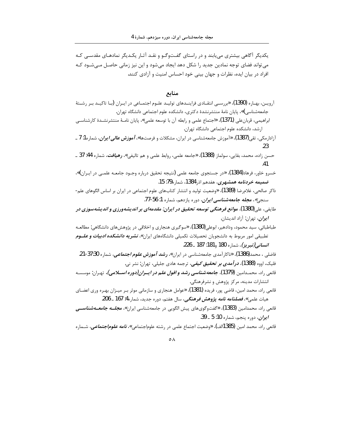یکدیگر آگاهی بیشتری می بابند و در راستای گفتوگـو و نقـد آثـار یکـدیگر نمادهـای مقدسـی کـه می تواند فضای توجه نمادین جدید را شکل دهد ایجاد می شود و این نیز زمانی حاصـل مـی شـود کـه افراد در بیان ایده، نظرات و جهان بینی خود احساس امنیت و آزادی کنند.

#### منابع

- آرويـن، بهـاره (1390)، «بررسـي انتقـادي فراينــدهاي توليــد علـوم اجتمـاعي در ايــران (بـا تاكيــد بـر رشــتهٔ جامعهشناسی)»، پایان نامهٔ منتشرنشدهٔ دکتری، دانشکده علوم اجتماعی دانشگاه تهران. ابراهیمی، قربانعلی (1371)، «اجتماع علمی و رابطه آن با توسعه علمی»، پایان نامـهٔ منتشرنشـدهٔ کارشناسـی ارشد، دانشکده علوم اجتماعی دانشگاه تهران. آزادارمکی، تقی(1387)، «آموزش جامعهشناسی در ایران، مشکلات و فرصتها»، *آموزش عالی ایران*، شماره1: 7 ـ .23 حسن زاده، محمد، بقايي، سولماز (1388)، «جامعه علمي، روابط علمي و هم تاليفي»، **رهي***افت***،** شماره 44: 37 ـ 41 خسرو خاور، فرهاد(1384)، «در جستجوي جامعه علمي (نتيجه تحقيق درباره وجـود جامعـه علمـي در ايـران)»، *ضمیمه خردنامه همشهری*، هفده<sub>م</sub> اذر1384، شماره79: 15. ذاکر صالحی، غلامرضا (1389)، «وضعیت تولید و انتشار کتابهای علوم اجتماعی در ایران بر اساس الگوهای علم-سنجي»، **م***جله جامعهشناسي ايران***،** دوره يازدهم، شماره 1: 56-77. طايفي، على(1380)، مو*انع فرهنگي توسعه تحقيق در ايران: مقدمهاي بر انديشهورزي و انديشهسوزي در ايران*، تهران: آزاد انديشان. طباطبائی، سید محمود، ودادهیر، ابوعلی(1380**)، «**سوگیری هنجاری و اخلاقی در پژوهشهای دانشگاهی: مطالعـه تطبیقی امور مربوط به دانشجویان تحصیلات تکمیلی دانشگاههای ایران*»، نشریه دانشکده ادبیات و علــوم انساني (تبريز)*، شماره 180 ,181: 187 ـ 226. فاضلی ، محمد(1386)، «ناکارآمدی جامعهشناسی در ایران»، **ر***شد آموزش علوم اجتماعی***،** شماره 37:30-21. فلیک، اووه (1388)، *در آمدی بر تحقیق کیفی،* ترجمه هادی جلیلی، تهران: نشر نی. قانعي <sub>د</sub>اد، محمـدامين **(1379)،** *جامعه شناسي رشد و افول علـم در ايــران(دوره اســـلامي)،* **تهـران: موسســه** انتشارات مدینه، مرکز پژوهش و نشرفرهنگی. قانعي راد، محمد امين، قاضي پور، فريده **(1**381)، «عوامل هنجاري و سازماني موثر بـر ميـزان بهـره وري اعضــاي هيات علمي»، *فصلنامه نامه پژوهش فرهنگي*، سال هفتم، دوره جديد، شماره4: 167 ــ 206. قانعی راد، محمدامین (1383)، «گفتوگویهای پیش الگویی در جامعهشناسی ایران»، *مجلــه جامعــهشناســی*
- *ايران*، دوره پنجم، شماره 10: 5 ـ 39.

قانعي راد، محمد امين (385الف)، «وضعيت اجتماع علمي در رشته علوماجتماعي»، *نامه علوم|جتماعي*، شــماره

 $\circ \wedge$